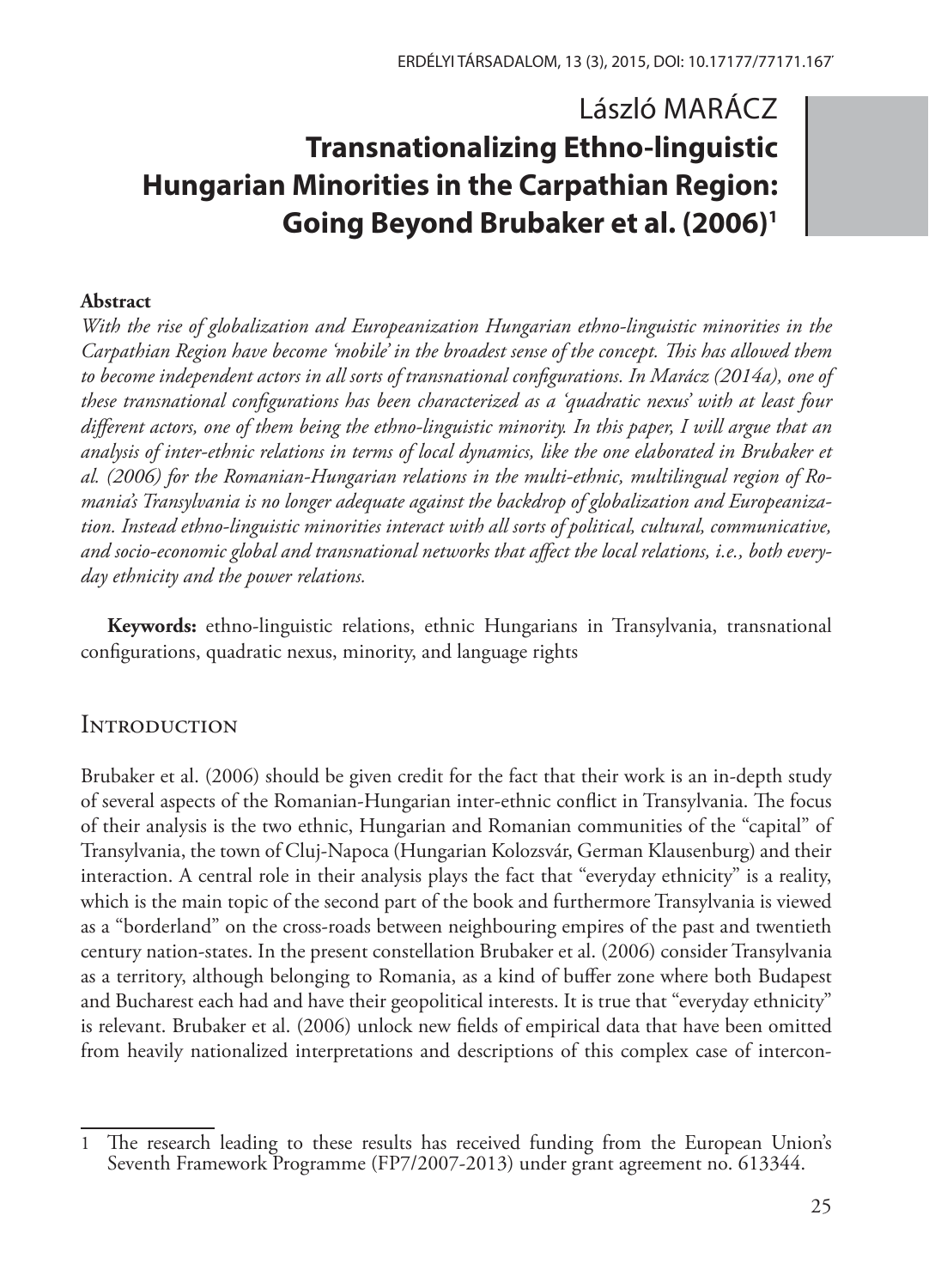# László MARÁCZ **Transnationalizing Ethno-linguistic Hungarian Minorities in the Carpathian Region: Going Beyond Brubaker et al. (2006)1**

#### **Abstract**

*With the rise of globalization and Europeanization Hungarian ethno-linguistic minorities in the Carpathian Region have become 'mobile' in the broadest sense of the concept. This has allowed them to become independent actors in all sorts of transnational configurations. In Marácz (2014a), one of these transnational configurations has been characterized as a 'quadratic nexus' with at least four different actors, one of them being the ethno-linguistic minority. In this paper, I will argue that an analysis of inter-ethnic relations in terms of local dynamics, like the one elaborated in Brubaker et al. (2006) for the Romanian-Hungarian relations in the multi-ethnic, multilingual region of Romania's Transylvania is no longer adequate against the backdrop of globalization and Europeanization. Instead ethno-linguistic minorities interact with all sorts of political, cultural, communicative, and socio-economic global and transnational networks that affect the local relations, i.e., both everyday ethnicity and the power relations.*

**Keywords:** ethno-linguistic relations, ethnic Hungarians in Transylvania, transnational configurations, quadratic nexus, minority, and language rights

# **INTRODUCTION**

Brubaker et al. (2006) should be given credit for the fact that their work is an in-depth study of several aspects of the Romanian-Hungarian inter-ethnic conflict in Transylvania. The focus of their analysis is the two ethnic, Hungarian and Romanian communities of the "capital" of Transylvania, the town of Cluj-Napoca (Hungarian Kolozsvár, German Klausenburg) and their interaction. A central role in their analysis plays the fact that "everyday ethnicity" is a reality, which is the main topic of the second part of the book and furthermore Transylvania is viewed as a "borderland" on the cross-roads between neighbouring empires of the past and twentieth century nation-states. In the present constellation Brubaker et al. (2006) consider Transylvania as a territory, although belonging to Romania, as a kind of buffer zone where both Budapest and Bucharest each had and have their geopolitical interests. It is true that "everyday ethnicity" is relevant. Brubaker et al. (2006) unlock new fields of empirical data that have been omitted from heavily nationalized interpretations and descriptions of this complex case of intercon-

<sup>1</sup> The research leading to these results has received funding from the European Union's Seventh Framework Programme (FP7/2007-2013) under grant agreement no. 613344.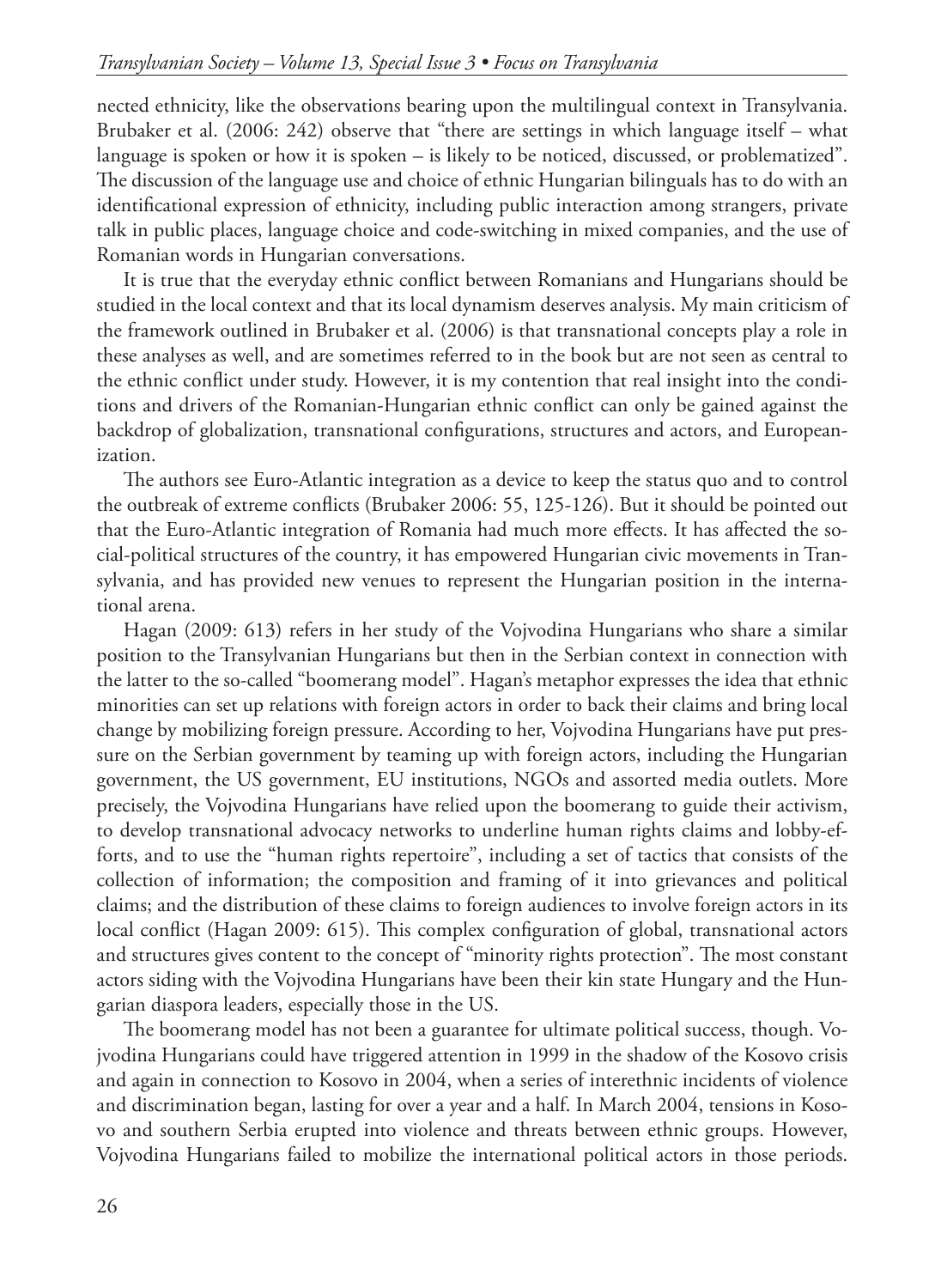nected ethnicity, like the observations bearing upon the multilingual context in Transylvania. Brubaker et al. (2006: 242) observe that "there are settings in which language itself – what language is spoken or how it is spoken – is likely to be noticed, discussed, or problematized". The discussion of the language use and choice of ethnic Hungarian bilinguals has to do with an identificational expression of ethnicity, including public interaction among strangers, private talk in public places, language choice and code-switching in mixed companies, and the use of Romanian words in Hungarian conversations.

It is true that the everyday ethnic conflict between Romanians and Hungarians should be studied in the local context and that its local dynamism deserves analysis. My main criticism of the framework outlined in Brubaker et al. (2006) is that transnational concepts play a role in these analyses as well, and are sometimes referred to in the book but are not seen as central to the ethnic conflict under study. However, it is my contention that real insight into the conditions and drivers of the Romanian-Hungarian ethnic conflict can only be gained against the backdrop of globalization, transnational configurations, structures and actors, and Europeanization.

The authors see Euro-Atlantic integration as a device to keep the status quo and to control the outbreak of extreme conflicts (Brubaker 2006: 55, 125-126). But it should be pointed out that the Euro-Atlantic integration of Romania had much more effects. It has affected the social-political structures of the country, it has empowered Hungarian civic movements in Transylvania, and has provided new venues to represent the Hungarian position in the international arena.

Hagan (2009: 613) refers in her study of the Vojvodina Hungarians who share a similar position to the Transylvanian Hungarians but then in the Serbian context in connection with the latter to the so-called "boomerang model". Hagan's metaphor expresses the idea that ethnic minorities can set up relations with foreign actors in order to back their claims and bring local change by mobilizing foreign pressure. According to her, Vojvodina Hungarians have put pressure on the Serbian government by teaming up with foreign actors, including the Hungarian government, the US government, EU institutions, NGOs and assorted media outlets. More precisely, the Vojvodina Hungarians have relied upon the boomerang to guide their activism, to develop transnational advocacy networks to underline human rights claims and lobby-efforts, and to use the "human rights repertoire", including a set of tactics that consists of the collection of information; the composition and framing of it into grievances and political claims; and the distribution of these claims to foreign audiences to involve foreign actors in its local conflict (Hagan 2009: 615). This complex configuration of global, transnational actors and structures gives content to the concept of "minority rights protection". The most constant actors siding with the Vojvodina Hungarians have been their kin state Hungary and the Hungarian diaspora leaders, especially those in the US.

The boomerang model has not been a guarantee for ultimate political success, though. Vojvodina Hungarians could have triggered attention in 1999 in the shadow of the Kosovo crisis and again in connection to Kosovo in 2004, when a series of interethnic incidents of violence and discrimination began, lasting for over a year and a half. In March 2004, tensions in Kosovo and southern Serbia erupted into violence and threats between ethnic groups. However, Vojvodina Hungarians failed to mobilize the international political actors in those periods.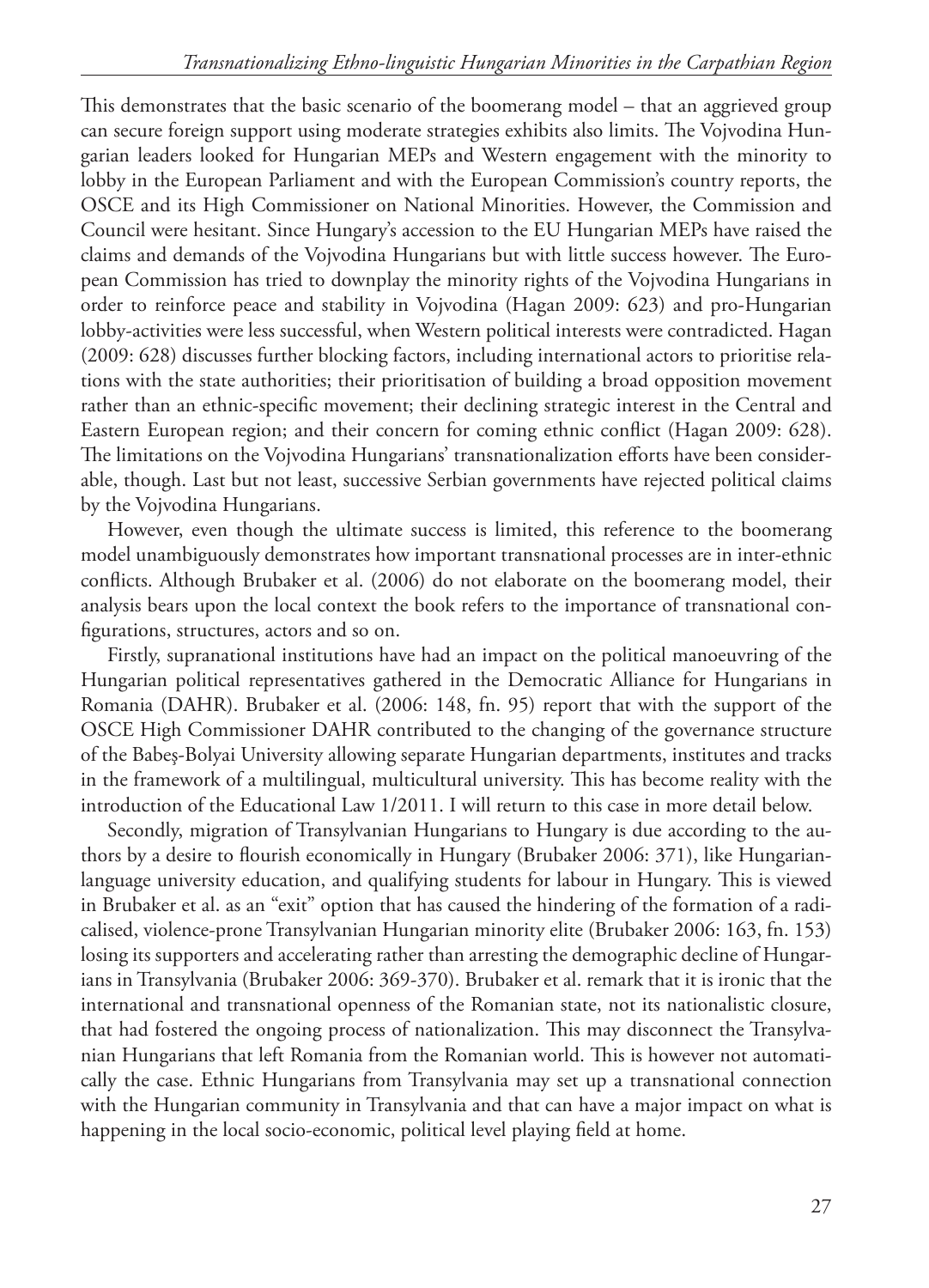This demonstrates that the basic scenario of the boomerang model – that an aggrieved group can secure foreign support using moderate strategies exhibits also limits. The Vojvodina Hungarian leaders looked for Hungarian MEPs and Western engagement with the minority to lobby in the European Parliament and with the European Commission's country reports, the OSCE and its High Commissioner on National Minorities. However, the Commission and Council were hesitant. Since Hungary's accession to the EU Hungarian MEPs have raised the claims and demands of the Vojvodina Hungarians but with little success however. The European Commission has tried to downplay the minority rights of the Vojvodina Hungarians in order to reinforce peace and stability in Vojvodina (Hagan 2009: 623) and pro-Hungarian lobby-activities were less successful, when Western political interests were contradicted. Hagan (2009: 628) discusses further blocking factors, including international actors to prioritise relations with the state authorities; their prioritisation of building a broad opposition movement rather than an ethnic-specific movement; their declining strategic interest in the Central and Eastern European region; and their concern for coming ethnic conflict (Hagan 2009: 628). The limitations on the Vojvodina Hungarians' transnationalization efforts have been considerable, though. Last but not least, successive Serbian governments have rejected political claims by the Vojvodina Hungarians.

However, even though the ultimate success is limited, this reference to the boomerang model unambiguously demonstrates how important transnational processes are in inter-ethnic conflicts. Although Brubaker et al. (2006) do not elaborate on the boomerang model, their analysis bears upon the local context the book refers to the importance of transnational configurations, structures, actors and so on.

Firstly, supranational institutions have had an impact on the political manoeuvring of the Hungarian political representatives gathered in the Democratic Alliance for Hungarians in Romania (DAHR). Brubaker et al. (2006: 148, fn. 95) report that with the support of the OSCE High Commissioner DAHR contributed to the changing of the governance structure of the Babeş-Bolyai University allowing separate Hungarian departments, institutes and tracks in the framework of a multilingual, multicultural university. This has become reality with the introduction of the Educational Law 1/2011. I will return to this case in more detail below.

Secondly, migration of Transylvanian Hungarians to Hungary is due according to the authors by a desire to flourish economically in Hungary (Brubaker 2006: 371), like Hungarianlanguage university education, and qualifying students for labour in Hungary. This is viewed in Brubaker et al. as an "exit" option that has caused the hindering of the formation of a radicalised, violence-prone Transylvanian Hungarian minority elite (Brubaker 2006: 163, fn. 153) losing its supporters and accelerating rather than arresting the demographic decline of Hungarians in Transylvania (Brubaker 2006: 369-370). Brubaker et al. remark that it is ironic that the international and transnational openness of the Romanian state, not its nationalistic closure, that had fostered the ongoing process of nationalization. This may disconnect the Transylvanian Hungarians that left Romania from the Romanian world. This is however not automatically the case. Ethnic Hungarians from Transylvania may set up a transnational connection with the Hungarian community in Transylvania and that can have a major impact on what is happening in the local socio-economic, political level playing field at home.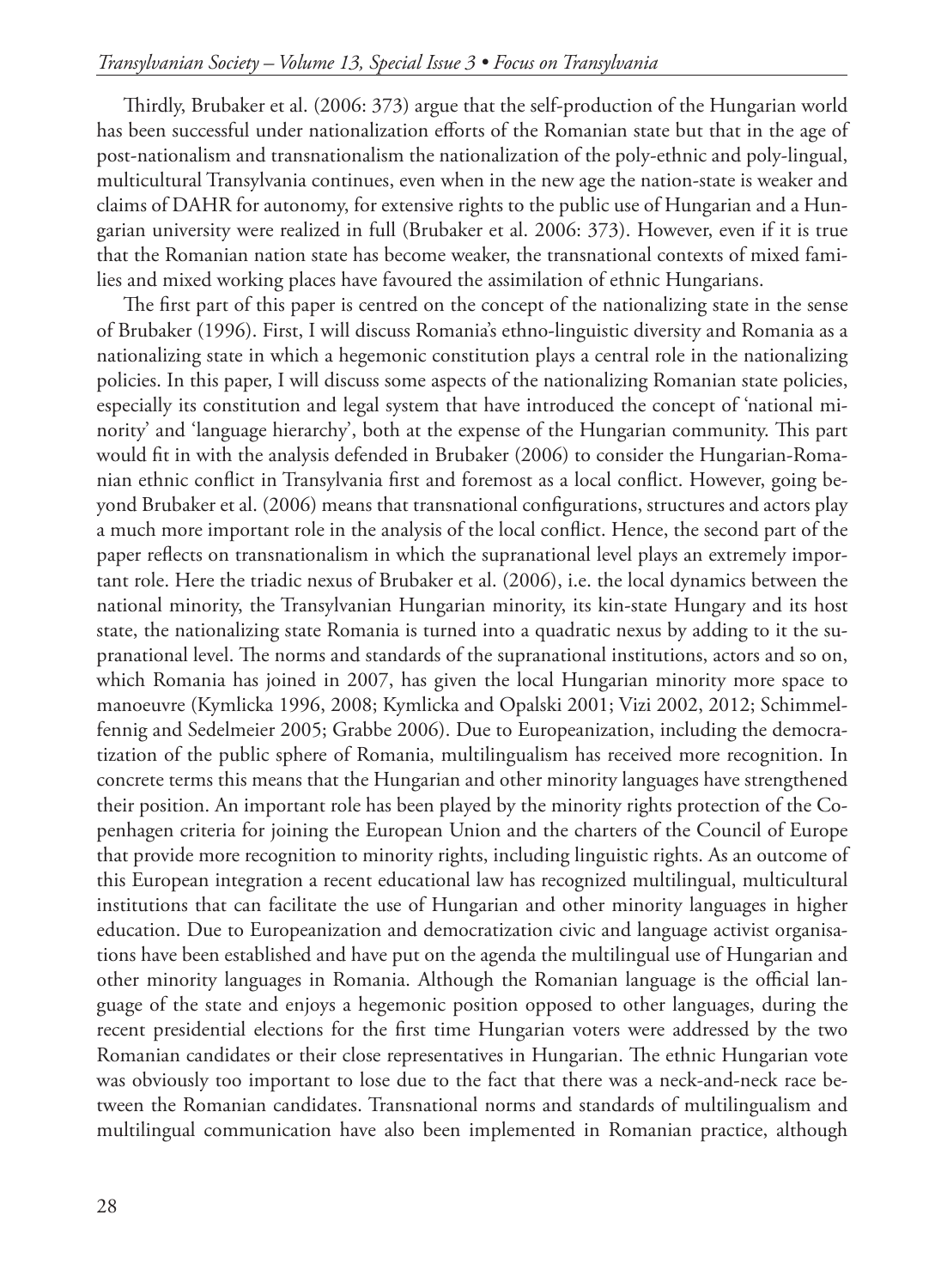Thirdly, Brubaker et al. (2006: 373) argue that the self-production of the Hungarian world has been successful under nationalization efforts of the Romanian state but that in the age of post-nationalism and transnationalism the nationalization of the poly-ethnic and poly-lingual, multicultural Transylvania continues, even when in the new age the nation-state is weaker and claims of DAHR for autonomy, for extensive rights to the public use of Hungarian and a Hungarian university were realized in full (Brubaker et al. 2006: 373). However, even if it is true that the Romanian nation state has become weaker, the transnational contexts of mixed families and mixed working places have favoured the assimilation of ethnic Hungarians.

The first part of this paper is centred on the concept of the nationalizing state in the sense of Brubaker (1996). First, I will discuss Romania's ethno-linguistic diversity and Romania as a nationalizing state in which a hegemonic constitution plays a central role in the nationalizing policies. In this paper, I will discuss some aspects of the nationalizing Romanian state policies, especially its constitution and legal system that have introduced the concept of 'national minority' and 'language hierarchy', both at the expense of the Hungarian community. This part would fit in with the analysis defended in Brubaker (2006) to consider the Hungarian-Romanian ethnic conflict in Transylvania first and foremost as a local conflict. However, going beyond Brubaker et al. (2006) means that transnational configurations, structures and actors play a much more important role in the analysis of the local conflict. Hence, the second part of the paper reflects on transnationalism in which the supranational level plays an extremely important role. Here the triadic nexus of Brubaker et al. (2006), i.e. the local dynamics between the national minority, the Transylvanian Hungarian minority, its kin-state Hungary and its host state, the nationalizing state Romania is turned into a quadratic nexus by adding to it the supranational level. The norms and standards of the supranational institutions, actors and so on, which Romania has joined in 2007, has given the local Hungarian minority more space to manoeuvre (Kymlicka 1996, 2008; Kymlicka and Opalski 2001; Vizi 2002, 2012; Schimmelfennig and Sedelmeier 2005; Grabbe 2006). Due to Europeanization, including the democratization of the public sphere of Romania, multilingualism has received more recognition. In concrete terms this means that the Hungarian and other minority languages have strengthened their position. An important role has been played by the minority rights protection of the Copenhagen criteria for joining the European Union and the charters of the Council of Europe that provide more recognition to minority rights, including linguistic rights. As an outcome of this European integration a recent educational law has recognized multilingual, multicultural institutions that can facilitate the use of Hungarian and other minority languages in higher education. Due to Europeanization and democratization civic and language activist organisations have been established and have put on the agenda the multilingual use of Hungarian and other minority languages in Romania. Although the Romanian language is the official language of the state and enjoys a hegemonic position opposed to other languages, during the recent presidential elections for the first time Hungarian voters were addressed by the two Romanian candidates or their close representatives in Hungarian. The ethnic Hungarian vote was obviously too important to lose due to the fact that there was a neck-and-neck race between the Romanian candidates. Transnational norms and standards of multilingualism and multilingual communication have also been implemented in Romanian practice, although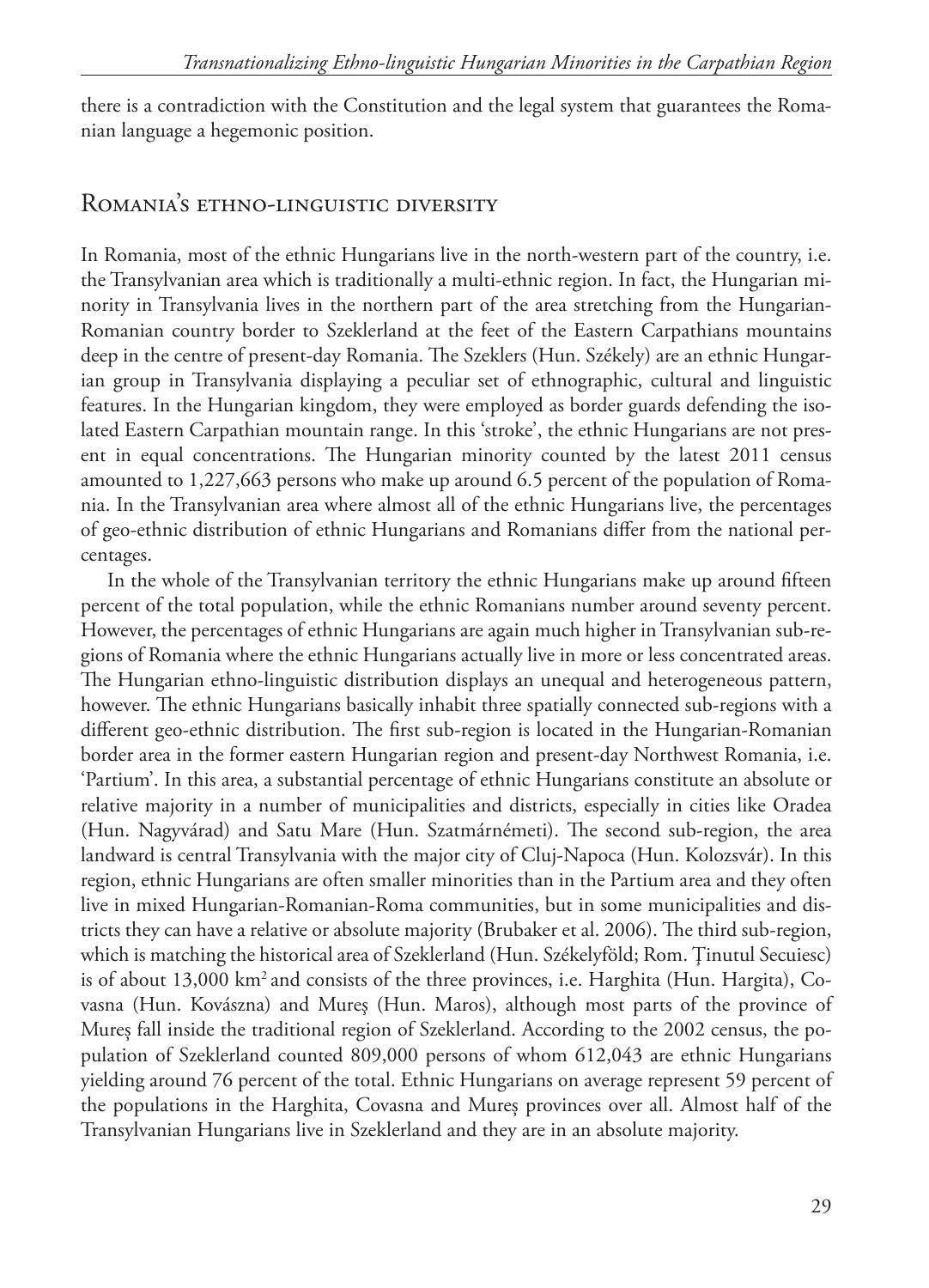there is a contradiction with the Constitution and the legal system that guarantees the Romanian language a hegemonic position.

#### Romania's ethno-linguistic diversity

In Romania, most of the ethnic Hungarians live in the north-western part of the country, i.e. the Transylvanian area which is traditionally a multi-ethnic region. In fact, the Hungarian minority in Transylvania lives in the northern part of the area stretching from the Hungarian-Romanian country border to Szeklerland at the feet of the Eastern Carpathians mountains deep in the centre of present-day Romania. The Szeklers (Hun. Székely) are an ethnic Hungarian group in Transylvania displaying a peculiar set of ethnographic, cultural and linguistic features. In the Hungarian kingdom, they were employed as border guards defending the isolated Eastern Carpathian mountain range. In this 'stroke', the ethnic Hungarians are not present in equal concentrations. The Hungarian minority counted by the latest 2011 census amounted to 1,227,663 persons who make up around 6.5 percent of the population of Romania. In the Transylvanian area where almost all of the ethnic Hungarians live, the percentages of geo-ethnic distribution of ethnic Hungarians and Romanians differ from the national percentages.

In the whole of the Transylvanian territory the ethnic Hungarians make up around fifteen percent of the total population, while the ethnic Romanians number around seventy percent. However, the percentages of ethnic Hungarians are again much higher in Transylvanian sub-regions of Romania where the ethnic Hungarians actually live in more or less concentrated areas. The Hungarian ethno-linguistic distribution displays an unequal and heterogeneous pattern, however. The ethnic Hungarians basically inhabit three spatially connected sub-regions with a different geo-ethnic distribution. The first sub-region is located in the Hungarian-Romanian border area in the former eastern Hungarian region and present-day Northwest Romania, i.e. 'Partium'. In this area, a substantial percentage of ethnic Hungarians constitute an absolute or relative majority in a number of municipalities and districts, especially in cities like Oradea (Hun. Nagyvárad) and Satu Mare (Hun. Szatmárnémeti). The second sub-region, the area landward is central Transylvania with the major city of Cluj-Napoca (Hun. Kolozsvár). In this region, ethnic Hungarians are often smaller minorities than in the Partium area and they often live in mixed Hungarian-Romanian-Roma communities, but in some municipalities and districts they can have a relative or absolute majority (Brubaker et al. 2006). The third sub-region, which is matching the historical area of Szeklerland (Hun. Székelyföld; Rom. Ţinutul Secuiesc) is of about  $13,000 \text{ km}^2$  and consists of the three provinces, i.e. Harghita (Hun. Hargita), Covasna (Hun. Kovászna) and Mureş (Hun. Maros), although most parts of the province of Mureș fall inside the traditional region of Szeklerland. According to the 2002 census, the population of Szeklerland counted 809,000 persons of whom 612,043 are ethnic Hungarians yielding around 76 percent of the total. Ethnic Hungarians on average represent 59 percent of the populations in the Harghita, Covasna and Mureș provinces over all. Almost half of the Transylvanian Hungarians live in Szeklerland and they are in an absolute majority.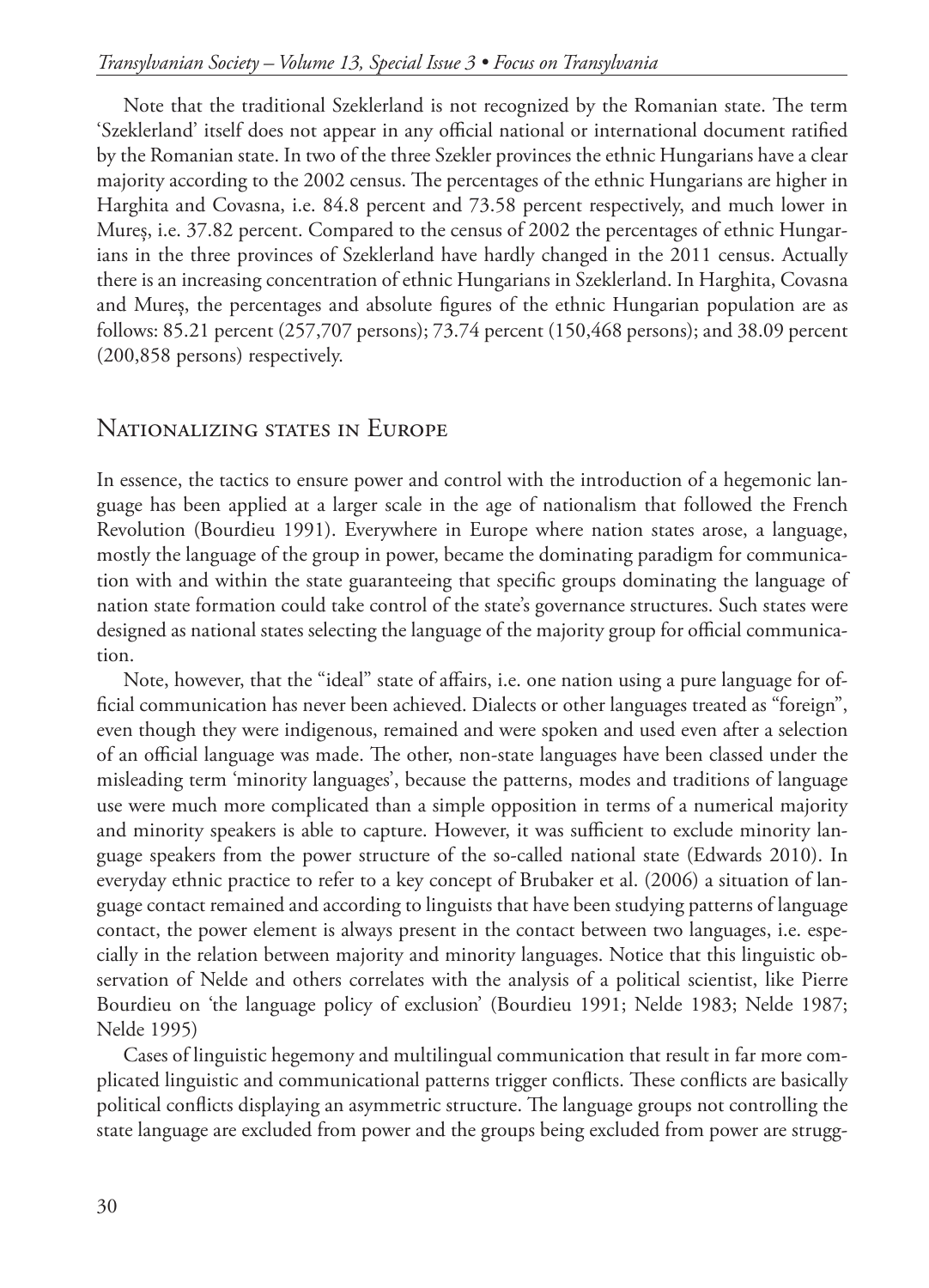#### *Transylvanian Society – Volume 13, Special Issue 3 • Focus on Transylvania*

Note that the traditional Szeklerland is not recognized by the Romanian state. The term 'Szeklerland' itself does not appear in any official national or international document ratified by the Romanian state. In two of the three Szekler provinces the ethnic Hungarians have a clear majority according to the 2002 census. The percentages of the ethnic Hungarians are higher in Harghita and Covasna, i.e. 84.8 percent and 73.58 percent respectively, and much lower in Mureș, i.e. 37.82 percent. Compared to the census of 2002 the percentages of ethnic Hungarians in the three provinces of Szeklerland have hardly changed in the 2011 census. Actually there is an increasing concentration of ethnic Hungarians in Szeklerland. In Harghita, Covasna and Mureș, the percentages and absolute figures of the ethnic Hungarian population are as follows: 85.21 percent (257,707 persons); 73.74 percent (150,468 persons); and 38.09 percent (200,858 persons) respectively.

## Nationalizing states in Europe

In essence, the tactics to ensure power and control with the introduction of a hegemonic language has been applied at a larger scale in the age of nationalism that followed the French Revolution (Bourdieu 1991). Everywhere in Europe where nation states arose, a language, mostly the language of the group in power, became the dominating paradigm for communication with and within the state guaranteeing that specific groups dominating the language of nation state formation could take control of the state's governance structures. Such states were designed as national states selecting the language of the majority group for official communication.

Note, however, that the "ideal" state of affairs, i.e. one nation using a pure language for official communication has never been achieved. Dialects or other languages treated as "foreign", even though they were indigenous, remained and were spoken and used even after a selection of an official language was made. The other, non-state languages have been classed under the misleading term 'minority languages', because the patterns, modes and traditions of language use were much more complicated than a simple opposition in terms of a numerical majority and minority speakers is able to capture. However, it was sufficient to exclude minority language speakers from the power structure of the so-called national state (Edwards 2010). In everyday ethnic practice to refer to a key concept of Brubaker et al. (2006) a situation of language contact remained and according to linguists that have been studying patterns of language contact, the power element is always present in the contact between two languages, i.e. especially in the relation between majority and minority languages. Notice that this linguistic observation of Nelde and others correlates with the analysis of a political scientist, like Pierre Bourdieu on 'the language policy of exclusion' (Bourdieu 1991; Nelde 1983; Nelde 1987; Nelde 1995)

Cases of linguistic hegemony and multilingual communication that result in far more complicated linguistic and communicational patterns trigger conflicts. These conflicts are basically political conflicts displaying an asymmetric structure. The language groups not controlling the state language are excluded from power and the groups being excluded from power are strugg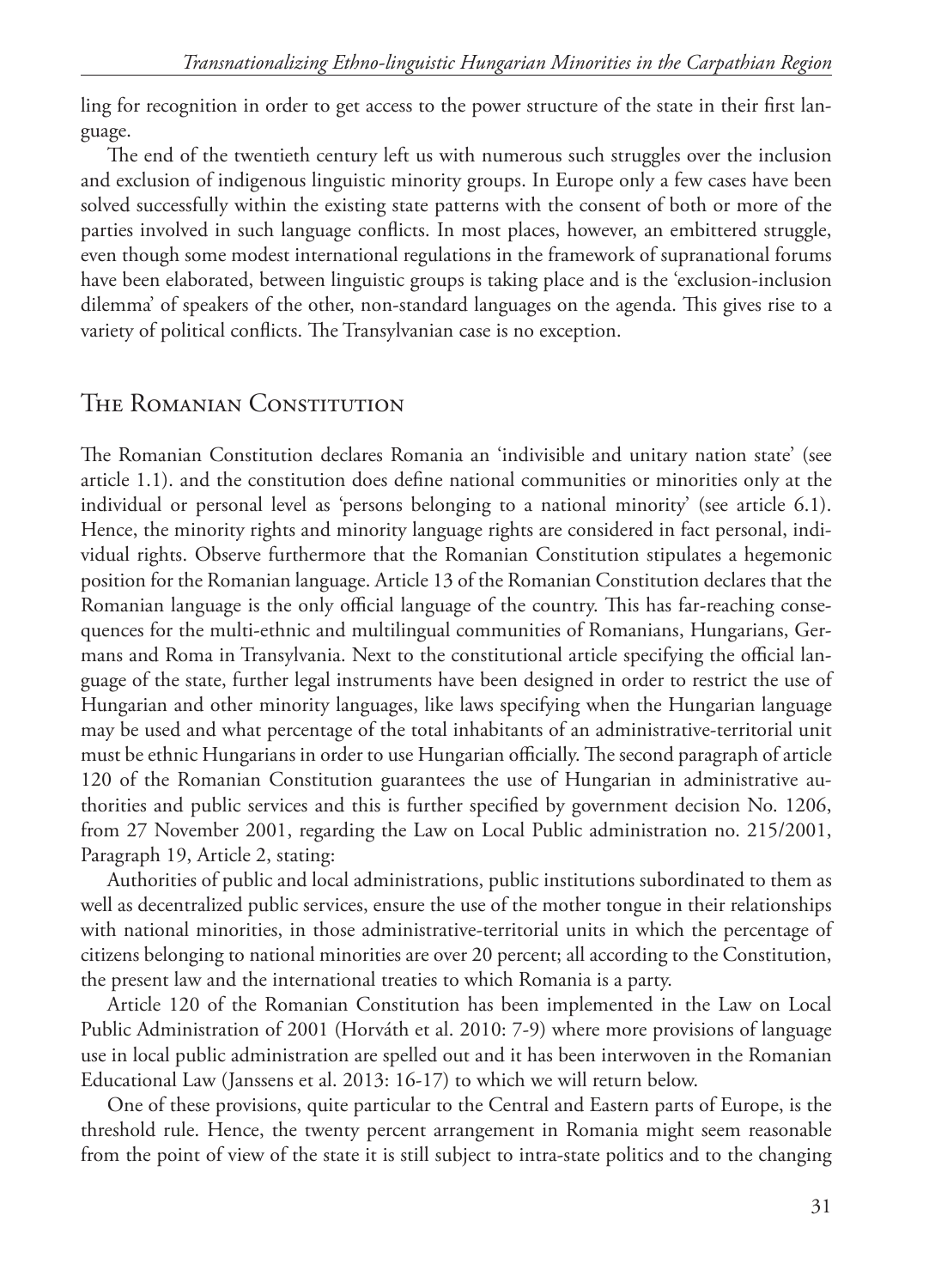ling for recognition in order to get access to the power structure of the state in their first language.

The end of the twentieth century left us with numerous such struggles over the inclusion and exclusion of indigenous linguistic minority groups. In Europe only a few cases have been solved successfully within the existing state patterns with the consent of both or more of the parties involved in such language conflicts. In most places, however, an embittered struggle, even though some modest international regulations in the framework of supranational forums have been elaborated, between linguistic groups is taking place and is the 'exclusion-inclusion dilemma' of speakers of the other, non-standard languages on the agenda. This gives rise to a variety of political conflicts. The Transylvanian case is no exception.

# The Romanian Constitution

The Romanian Constitution declares Romania an 'indivisible and unitary nation state' (see article 1.1). and the constitution does define national communities or minorities only at the individual or personal level as 'persons belonging to a national minority' (see article 6.1). Hence, the minority rights and minority language rights are considered in fact personal, individual rights. Observe furthermore that the Romanian Constitution stipulates a hegemonic position for the Romanian language. Article 13 of the Romanian Constitution declares that the Romanian language is the only official language of the country. This has far-reaching consequences for the multi-ethnic and multilingual communities of Romanians, Hungarians, Germans and Roma in Transylvania. Next to the constitutional article specifying the official language of the state, further legal instruments have been designed in order to restrict the use of Hungarian and other minority languages, like laws specifying when the Hungarian language may be used and what percentage of the total inhabitants of an administrative-territorial unit must be ethnic Hungarians in order to use Hungarian officially. The second paragraph of article 120 of the Romanian Constitution guarantees the use of Hungarian in administrative authorities and public services and this is further specified by government decision No. 1206, from 27 November 2001, regarding the Law on Local Public administration no. 215/2001, Paragraph 19, Article 2, stating:

Authorities of public and local administrations, public institutions subordinated to them as well as decentralized public services, ensure the use of the mother tongue in their relationships with national minorities, in those administrative-territorial units in which the percentage of citizens belonging to national minorities are over 20 percent; all according to the Constitution, the present law and the international treaties to which Romania is a party.

Article 120 of the Romanian Constitution has been implemented in the Law on Local Public Administration of 2001 (Horváth et al. 2010: 7-9) where more provisions of language use in local public administration are spelled out and it has been interwoven in the Romanian Educational Law (Janssens et al. 2013: 16-17) to which we will return below.

One of these provisions, quite particular to the Central and Eastern parts of Europe, is the threshold rule. Hence, the twenty percent arrangement in Romania might seem reasonable from the point of view of the state it is still subject to intra-state politics and to the changing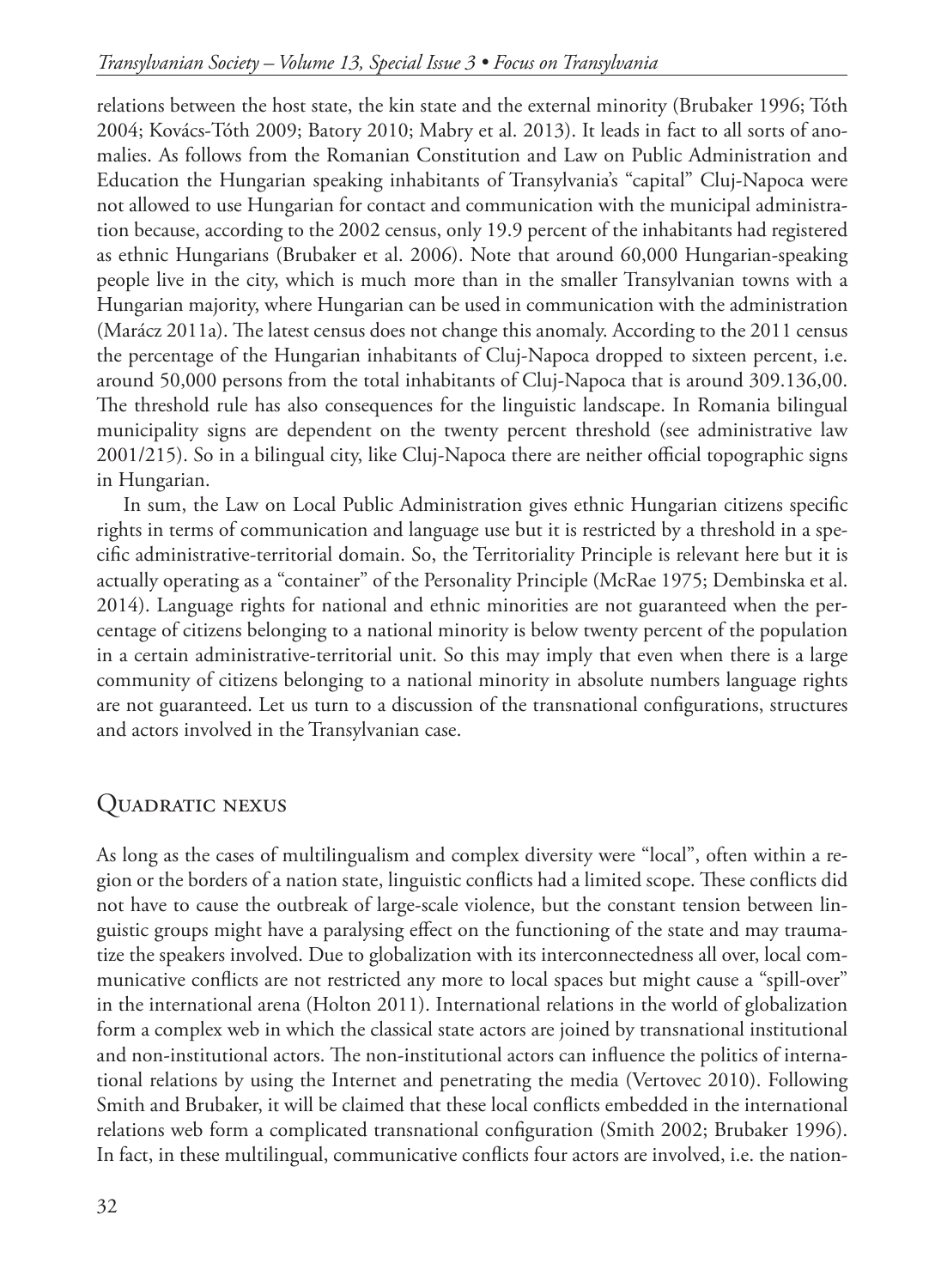relations between the host state, the kin state and the external minority (Brubaker 1996; Tóth 2004; Kovács-Tóth 2009; Batory 2010; Mabry et al. 2013). It leads in fact to all sorts of anomalies. As follows from the Romanian Constitution and Law on Public Administration and Education the Hungarian speaking inhabitants of Transylvania's "capital" Cluj-Napoca were not allowed to use Hungarian for contact and communication with the municipal administration because, according to the 2002 census, only 19.9 percent of the inhabitants had registered as ethnic Hungarians (Brubaker et al. 2006). Note that around 60,000 Hungarian-speaking people live in the city, which is much more than in the smaller Transylvanian towns with a Hungarian majority, where Hungarian can be used in communication with the administration (Marácz 2011a). The latest census does not change this anomaly. According to the 2011 census the percentage of the Hungarian inhabitants of Cluj-Napoca dropped to sixteen percent, i.e. around 50,000 persons from the total inhabitants of Cluj-Napoca that is around 309.136,00. The threshold rule has also consequences for the linguistic landscape. In Romania bilingual municipality signs are dependent on the twenty percent threshold (see administrative law 2001/215). So in a bilingual city, like Cluj-Napoca there are neither official topographic signs in Hungarian.

In sum, the Law on Local Public Administration gives ethnic Hungarian citizens specific rights in terms of communication and language use but it is restricted by a threshold in a specific administrative-territorial domain. So, the Territoriality Principle is relevant here but it is actually operating as a "container" of the Personality Principle (McRae 1975; Dembinska et al. 2014). Language rights for national and ethnic minorities are not guaranteed when the percentage of citizens belonging to a national minority is below twenty percent of the population in a certain administrative-territorial unit. So this may imply that even when there is a large community of citizens belonging to a national minority in absolute numbers language rights are not guaranteed. Let us turn to a discussion of the transnational configurations, structures and actors involved in the Transylvanian case.

# Quadratic nexus

As long as the cases of multilingualism and complex diversity were "local", often within a region or the borders of a nation state, linguistic conflicts had a limited scope. These conflicts did not have to cause the outbreak of large-scale violence, but the constant tension between linguistic groups might have a paralysing effect on the functioning of the state and may traumatize the speakers involved. Due to globalization with its interconnectedness all over, local communicative conflicts are not restricted any more to local spaces but might cause a "spill-over" in the international arena (Holton 2011). International relations in the world of globalization form a complex web in which the classical state actors are joined by transnational institutional and non-institutional actors. The non-institutional actors can influence the politics of international relations by using the Internet and penetrating the media (Vertovec 2010). Following Smith and Brubaker, it will be claimed that these local conflicts embedded in the international relations web form a complicated transnational configuration (Smith 2002; Brubaker 1996). In fact, in these multilingual, communicative conflicts four actors are involved, i.e. the nation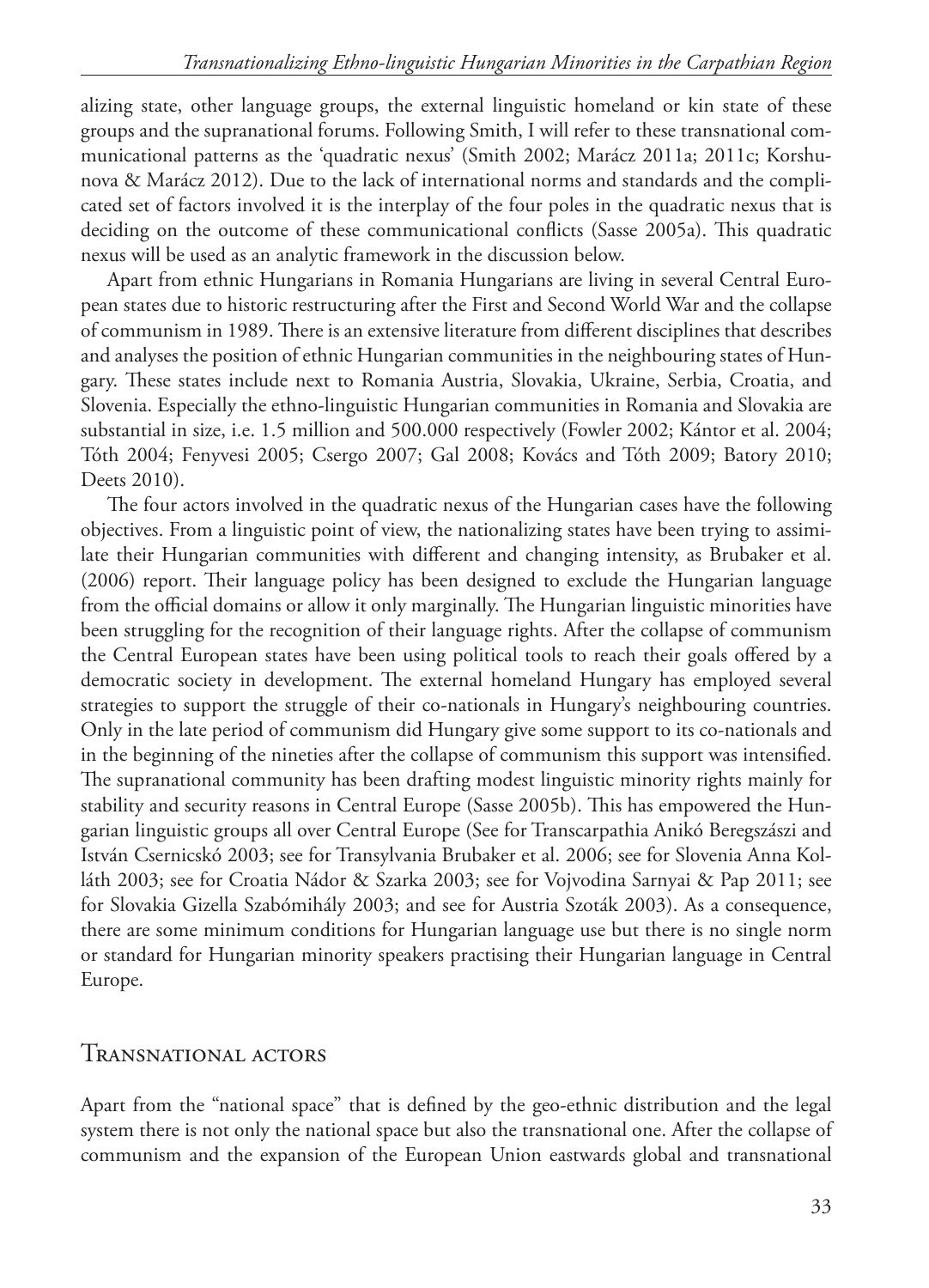alizing state, other language groups, the external linguistic homeland or kin state of these groups and the supranational forums. Following Smith, I will refer to these transnational communicational patterns as the 'quadratic nexus' (Smith 2002; Marácz 2011a; 2011c; Korshunova & Marácz 2012). Due to the lack of international norms and standards and the complicated set of factors involved it is the interplay of the four poles in the quadratic nexus that is deciding on the outcome of these communicational conflicts (Sasse 2005a). This quadratic nexus will be used as an analytic framework in the discussion below.

Apart from ethnic Hungarians in Romania Hungarians are living in several Central European states due to historic restructuring after the First and Second World War and the collapse of communism in 1989. There is an extensive literature from different disciplines that describes and analyses the position of ethnic Hungarian communities in the neighbouring states of Hungary. These states include next to Romania Austria, Slovakia, Ukraine, Serbia, Croatia, and Slovenia. Especially the ethno-linguistic Hungarian communities in Romania and Slovakia are substantial in size, i.e. 1.5 million and 500.000 respectively (Fowler 2002; Kántor et al. 2004; Tóth 2004; Fenyvesi 2005; Csergo 2007; Gal 2008; Kovács and Tóth 2009; Batory 2010; Deets 2010).

The four actors involved in the quadratic nexus of the Hungarian cases have the following objectives. From a linguistic point of view, the nationalizing states have been trying to assimilate their Hungarian communities with different and changing intensity, as Brubaker et al. (2006) report. Their language policy has been designed to exclude the Hungarian language from the official domains or allow it only marginally. The Hungarian linguistic minorities have been struggling for the recognition of their language rights. After the collapse of communism the Central European states have been using political tools to reach their goals offered by a democratic society in development. The external homeland Hungary has employed several strategies to support the struggle of their co-nationals in Hungary's neighbouring countries. Only in the late period of communism did Hungary give some support to its co-nationals and in the beginning of the nineties after the collapse of communism this support was intensified. The supranational community has been drafting modest linguistic minority rights mainly for stability and security reasons in Central Europe (Sasse 2005b). This has empowered the Hungarian linguistic groups all over Central Europe (See for Transcarpathia Anikó Beregszászi and István Csernicskó 2003; see for Transylvania Brubaker et al. 2006; see for Slovenia Anna Kolláth 2003; see for Croatia Nádor & Szarka 2003; see for Vojvodina Sarnyai & Pap 2011; see for Slovakia Gizella Szabómihály 2003; and see for Austria Szoták 2003). As a consequence, there are some minimum conditions for Hungarian language use but there is no single norm or standard for Hungarian minority speakers practising their Hungarian language in Central Europe.

## Transnational actors

Apart from the "national space" that is defined by the geo-ethnic distribution and the legal system there is not only the national space but also the transnational one. After the collapse of communism and the expansion of the European Union eastwards global and transnational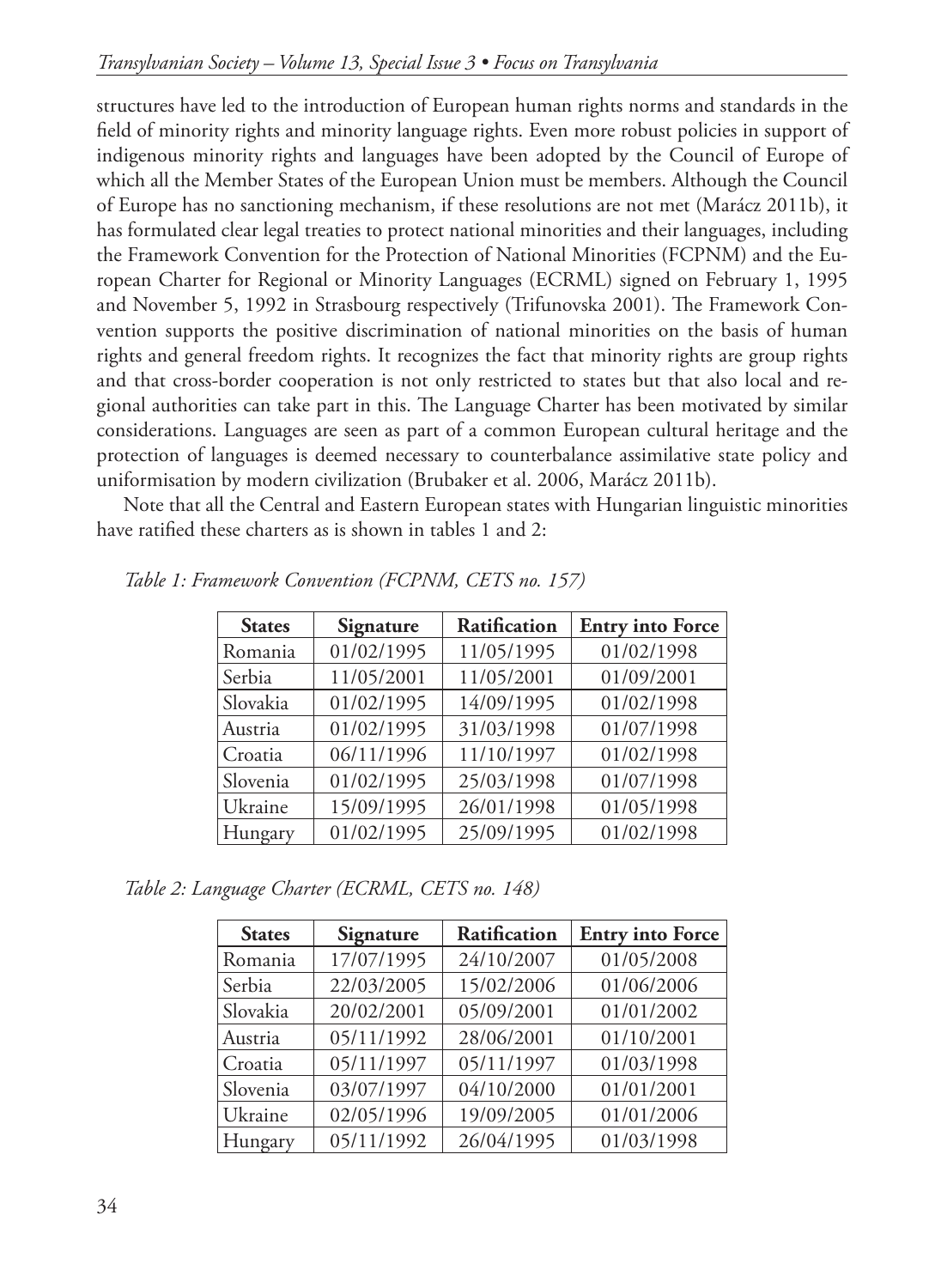structures have led to the introduction of European human rights norms and standards in the field of minority rights and minority language rights. Even more robust policies in support of indigenous minority rights and languages have been adopted by the Council of Europe of which all the Member States of the European Union must be members. Although the Council of Europe has no sanctioning mechanism, if these resolutions are not met (Marácz 2011b), it has formulated clear legal treaties to protect national minorities and their languages, including the Framework Convention for the Protection of National Minorities (FCPNM) and the European Charter for Regional or Minority Languages (ECRML) signed on February 1, 1995 and November 5, 1992 in Strasbourg respectively (Trifunovska 2001). The Framework Convention supports the positive discrimination of national minorities on the basis of human rights and general freedom rights. It recognizes the fact that minority rights are group rights and that cross-border cooperation is not only restricted to states but that also local and regional authorities can take part in this. The Language Charter has been motivated by similar considerations. Languages are seen as part of a common European cultural heritage and the protection of languages is deemed necessary to counterbalance assimilative state policy and uniformisation by modern civilization (Brubaker et al. 2006, Marácz 2011b).

Note that all the Central and Eastern European states with Hungarian linguistic minorities have ratified these charters as is shown in tables 1 and 2:

| <b>States</b> | Signature  | <b>Ratification</b> | <b>Entry into Force</b> |
|---------------|------------|---------------------|-------------------------|
| Romania       | 01/02/1995 | 11/05/1995          | 01/02/1998              |
| Serbia        | 11/05/2001 | 11/05/2001          | 01/09/2001              |
| Slovakia      | 01/02/1995 | 14/09/1995          | 01/02/1998              |
| Austria       | 01/02/1995 | 31/03/1998          | 01/07/1998              |
| Croatia       | 06/11/1996 | 11/10/1997          | 01/02/1998              |
| Slovenia      | 01/02/1995 | 25/03/1998          | 01/07/1998              |
| Ukraine       | 15/09/1995 | 26/01/1998          | 01/05/1998              |
| Hungary       | 01/02/1995 | 25/09/1995          | 01/02/1998              |

*Table 1: Framework Convention (FCPNM, CETS no. 157)*

*Table 2: Language Charter (ECRML, CETS no. 148)*

| <b>States</b> | Signature  | <b>Ratification</b> | <b>Entry into Force</b> |
|---------------|------------|---------------------|-------------------------|
| Romania       | 17/07/1995 | 24/10/2007          | 01/05/2008              |
| Serbia        | 22/03/2005 | 15/02/2006          | 01/06/2006              |
| Slovakia      | 20/02/2001 | 05/09/2001          | 01/01/2002              |
| Austria       | 05/11/1992 | 28/06/2001          | 01/10/2001              |
| Croatia       | 05/11/1997 | 05/11/1997          | 01/03/1998              |
| Slovenia      | 03/07/1997 | 04/10/2000          | 01/01/2001              |
| Ukraine       | 02/05/1996 | 19/09/2005          | 01/01/2006              |
| Hungary       | 05/11/1992 | 26/04/1995          | 01/03/1998              |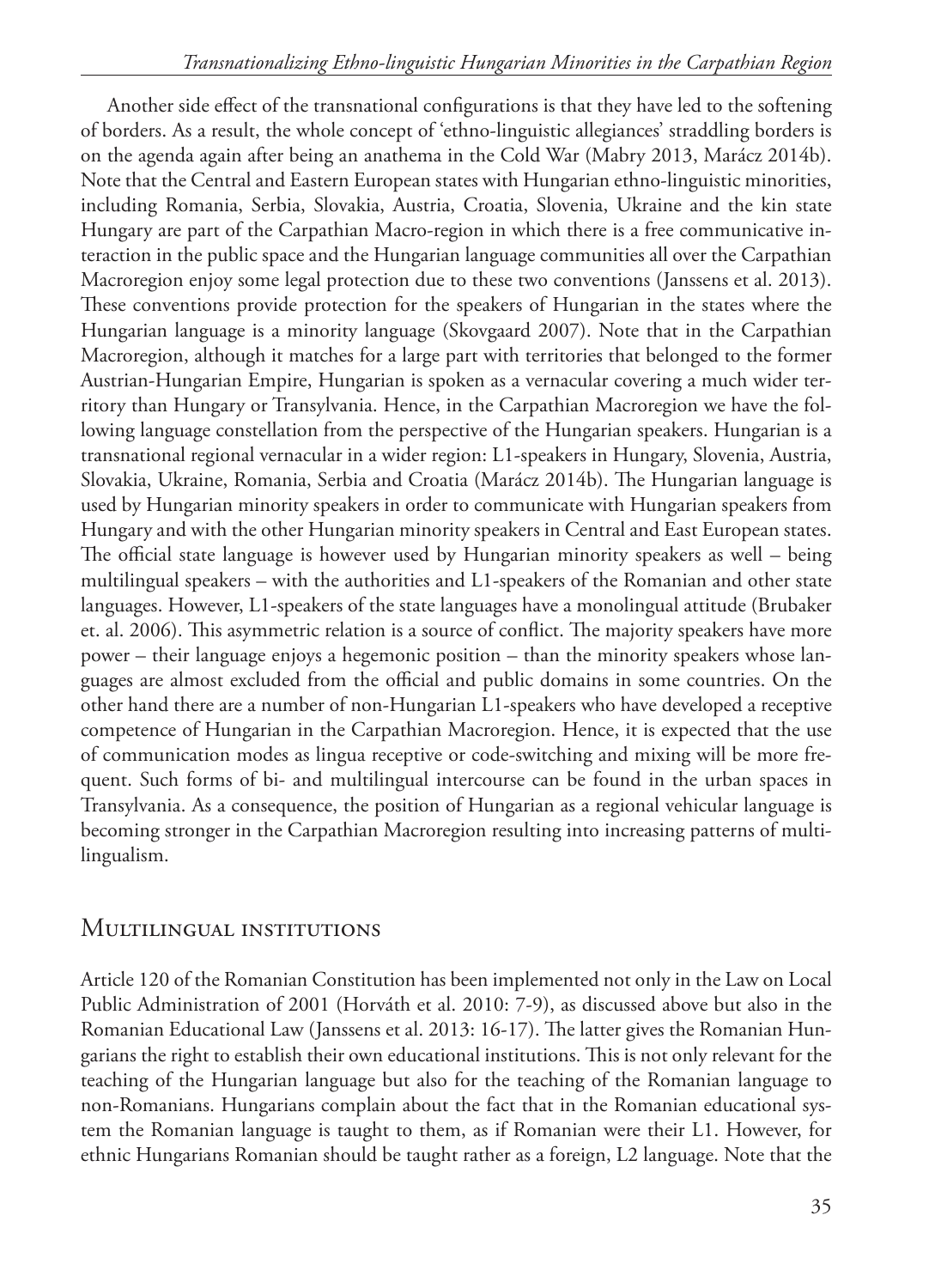Another side effect of the transnational configurations is that they have led to the softening of borders. As a result, the whole concept of 'ethno-linguistic allegiances' straddling borders is on the agenda again after being an anathema in the Cold War (Mabry 2013, Marácz 2014b). Note that the Central and Eastern European states with Hungarian ethno-linguistic minorities, including Romania, Serbia, Slovakia, Austria, Croatia, Slovenia, Ukraine and the kin state Hungary are part of the Carpathian Macro-region in which there is a free communicative interaction in the public space and the Hungarian language communities all over the Carpathian Macroregion enjoy some legal protection due to these two conventions (Janssens et al. 2013). These conventions provide protection for the speakers of Hungarian in the states where the Hungarian language is a minority language (Skovgaard 2007). Note that in the Carpathian Macroregion, although it matches for a large part with territories that belonged to the former Austrian-Hungarian Empire, Hungarian is spoken as a vernacular covering a much wider territory than Hungary or Transylvania. Hence, in the Carpathian Macroregion we have the following language constellation from the perspective of the Hungarian speakers. Hungarian is a transnational regional vernacular in a wider region: L1-speakers in Hungary, Slovenia, Austria, Slovakia, Ukraine, Romania, Serbia and Croatia (Marácz 2014b). The Hungarian language is used by Hungarian minority speakers in order to communicate with Hungarian speakers from Hungary and with the other Hungarian minority speakers in Central and East European states. The official state language is however used by Hungarian minority speakers as well – being multilingual speakers – with the authorities and L1-speakers of the Romanian and other state languages. However, L1-speakers of the state languages have a monolingual attitude (Brubaker et. al. 2006). This asymmetric relation is a source of conflict. The majority speakers have more power – their language enjoys a hegemonic position – than the minority speakers whose languages are almost excluded from the official and public domains in some countries. On the other hand there are a number of non-Hungarian L1-speakers who have developed a receptive competence of Hungarian in the Carpathian Macroregion. Hence, it is expected that the use of communication modes as lingua receptive or code-switching and mixing will be more frequent. Such forms of bi- and multilingual intercourse can be found in the urban spaces in Transylvania. As a consequence, the position of Hungarian as a regional vehicular language is becoming stronger in the Carpathian Macroregion resulting into increasing patterns of multilingualism.

## Multilingual institutions

Article 120 of the Romanian Constitution has been implemented not only in the Law on Local Public Administration of 2001 (Horváth et al. 2010: 7-9), as discussed above but also in the Romanian Educational Law (Janssens et al. 2013: 16-17). The latter gives the Romanian Hungarians the right to establish their own educational institutions. This is not only relevant for the teaching of the Hungarian language but also for the teaching of the Romanian language to non-Romanians. Hungarians complain about the fact that in the Romanian educational system the Romanian language is taught to them, as if Romanian were their L1. However, for ethnic Hungarians Romanian should be taught rather as a foreign, L2 language. Note that the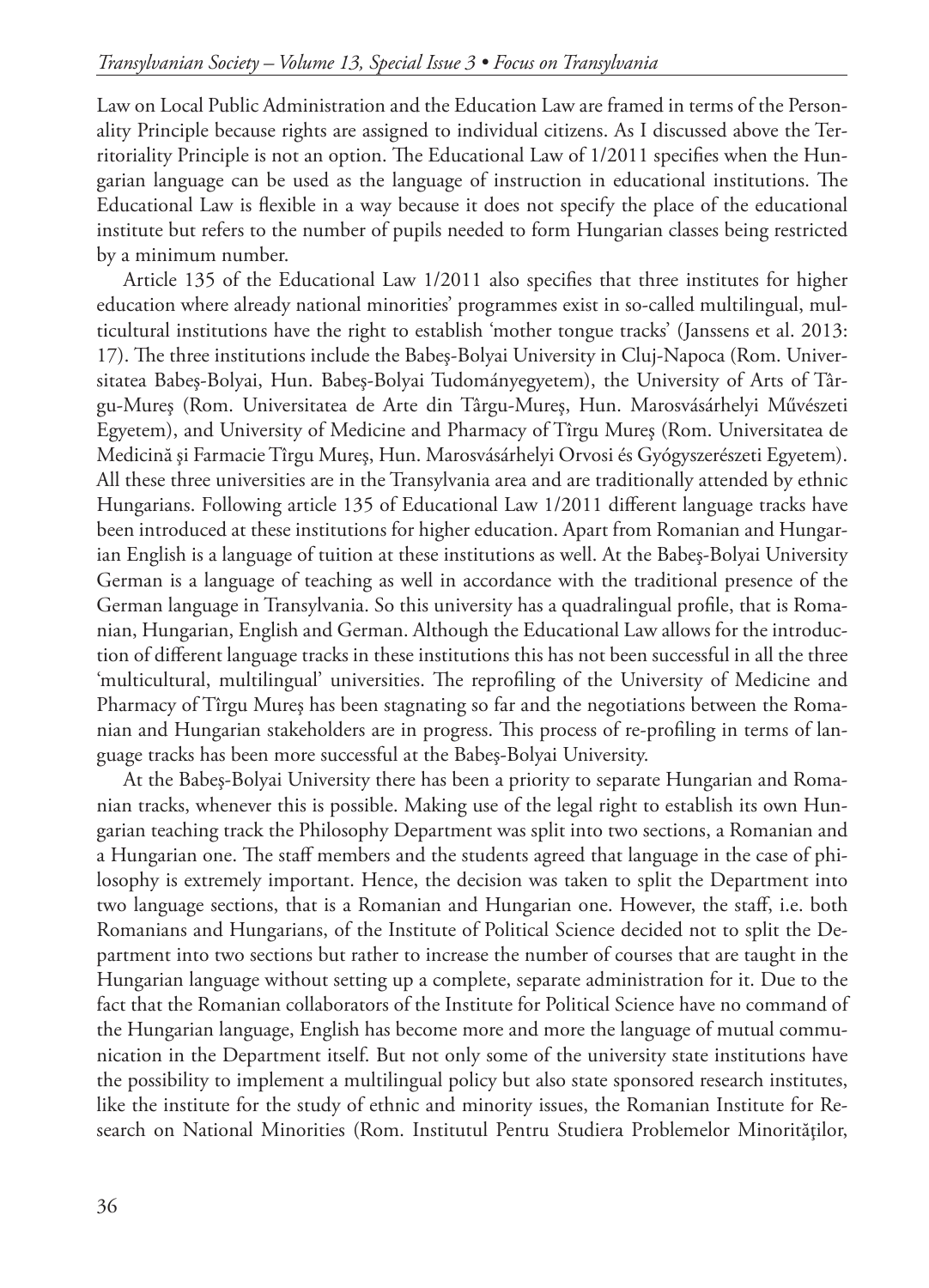Law on Local Public Administration and the Education Law are framed in terms of the Personality Principle because rights are assigned to individual citizens. As I discussed above the Territoriality Principle is not an option. The Educational Law of 1/2011 specifies when the Hungarian language can be used as the language of instruction in educational institutions. The Educational Law is flexible in a way because it does not specify the place of the educational institute but refers to the number of pupils needed to form Hungarian classes being restricted by a minimum number.

Article 135 of the Educational Law 1/2011 also specifies that three institutes for higher education where already national minorities' programmes exist in so-called multilingual, multicultural institutions have the right to establish 'mother tongue tracks' (Janssens et al. 2013: 17). The three institutions include the Babeş-Bolyai University in Cluj-Napoca (Rom. Universitatea Babeş-Bolyai, Hun. Babeş-Bolyai Tudományegyetem), the University of Arts of Târgu-Mureş (Rom. Universitatea de Arte din Târgu-Mureş, Hun. Marosvásárhelyi Művészeti Egyetem), and University of Medicine and Pharmacy of Tîrgu Mureş (Rom. Universitatea de Medicină şi Farmacie Tîrgu Mureş, Hun. Marosvásárhelyi Orvosi és Gyógyszerészeti Egyetem). All these three universities are in the Transylvania area and are traditionally attended by ethnic Hungarians. Following article 135 of Educational Law 1/2011 different language tracks have been introduced at these institutions for higher education. Apart from Romanian and Hungarian English is a language of tuition at these institutions as well. At the Babeş-Bolyai University German is a language of teaching as well in accordance with the traditional presence of the German language in Transylvania. So this university has a quadralingual profile, that is Romanian, Hungarian, English and German. Although the Educational Law allows for the introduction of different language tracks in these institutions this has not been successful in all the three 'multicultural, multilingual' universities. The reprofiling of the University of Medicine and Pharmacy of Tîrgu Mureş has been stagnating so far and the negotiations between the Romanian and Hungarian stakeholders are in progress. This process of re-profiling in terms of language tracks has been more successful at the Babeş-Bolyai University.

At the Babeş-Bolyai University there has been a priority to separate Hungarian and Romanian tracks, whenever this is possible. Making use of the legal right to establish its own Hungarian teaching track the Philosophy Department was split into two sections, a Romanian and a Hungarian one. The staff members and the students agreed that language in the case of philosophy is extremely important. Hence, the decision was taken to split the Department into two language sections, that is a Romanian and Hungarian one. However, the staff, i.e. both Romanians and Hungarians, of the Institute of Political Science decided not to split the Department into two sections but rather to increase the number of courses that are taught in the Hungarian language without setting up a complete, separate administration for it. Due to the fact that the Romanian collaborators of the Institute for Political Science have no command of the Hungarian language, English has become more and more the language of mutual communication in the Department itself. But not only some of the university state institutions have the possibility to implement a multilingual policy but also state sponsored research institutes, like the institute for the study of ethnic and minority issues, the Romanian Institute for Research on National Minorities (Rom. Institutul Pentru Studiera Problemelor Minorităţilor,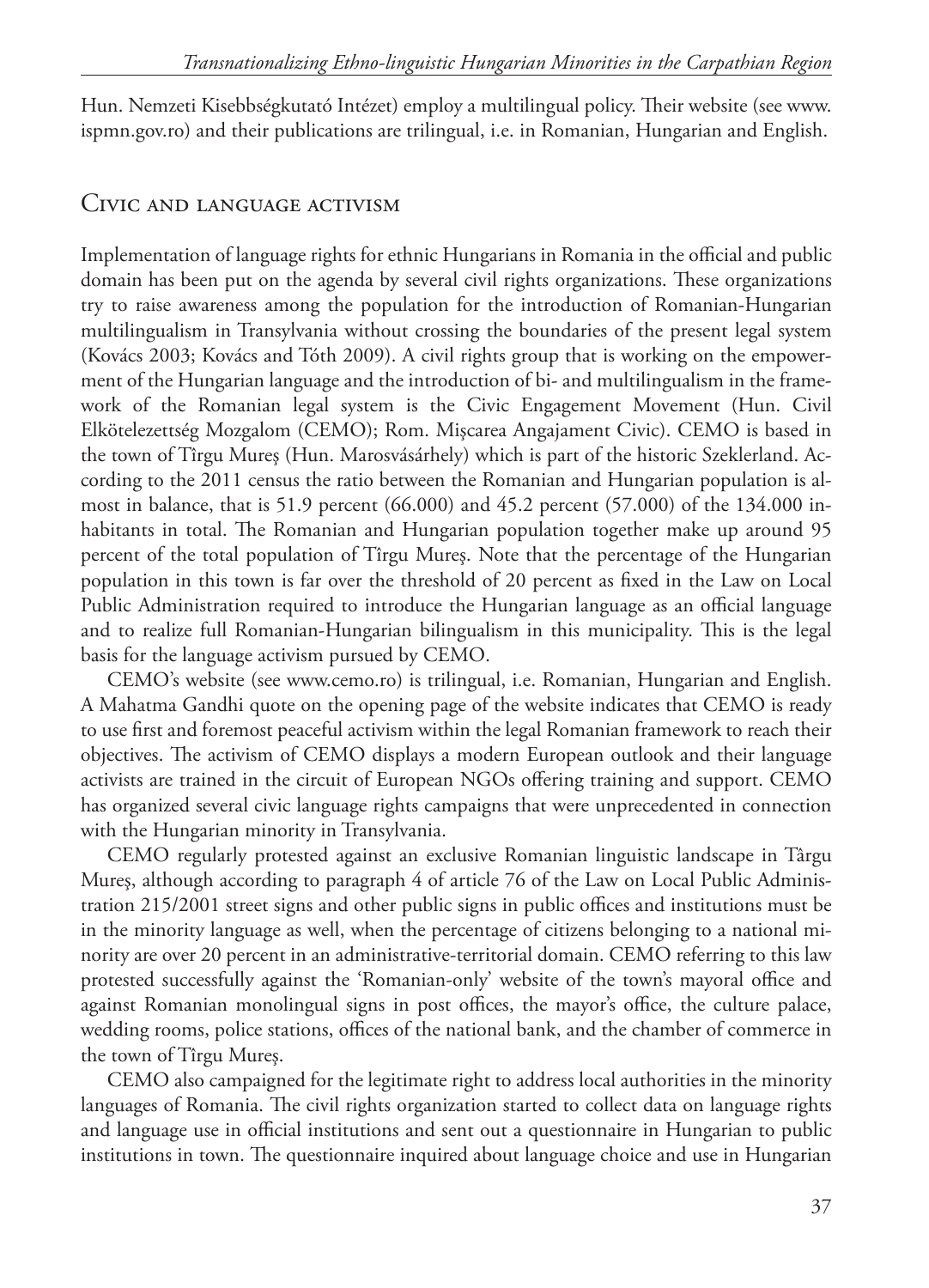Hun. Nemzeti Kisebbségkutató Intézet) employ a multilingual policy. Their website (see www. ispmn.gov.ro) and their publications are trilingual, i.e. in Romanian, Hungarian and English.

#### Civic and language activism

Implementation of language rights for ethnic Hungarians in Romania in the official and public domain has been put on the agenda by several civil rights organizations. These organizations try to raise awareness among the population for the introduction of Romanian-Hungarian multilingualism in Transylvania without crossing the boundaries of the present legal system (Kovács 2003; Kovács and Tóth 2009). A civil rights group that is working on the empowerment of the Hungarian language and the introduction of bi- and multilingualism in the framework of the Romanian legal system is the Civic Engagement Movement (Hun. Civil Elkötelezettség Mozgalom (CEMO); Rom. Mişcarea Angajament Civic). CEMO is based in the town of Tîrgu Mureş (Hun. Marosvásárhely) which is part of the historic Szeklerland. According to the 2011 census the ratio between the Romanian and Hungarian population is almost in balance, that is 51.9 percent (66.000) and 45.2 percent (57.000) of the 134.000 inhabitants in total. The Romanian and Hungarian population together make up around 95 percent of the total population of Tîrgu Mureş. Note that the percentage of the Hungarian population in this town is far over the threshold of 20 percent as fixed in the Law on Local Public Administration required to introduce the Hungarian language as an official language and to realize full Romanian-Hungarian bilingualism in this municipality. This is the legal basis for the language activism pursued by CEMO.

CEMO's website (see www.cemo.ro) is trilingual, i.e. Romanian, Hungarian and English. A Mahatma Gandhi quote on the opening page of the website indicates that CEMO is ready to use first and foremost peaceful activism within the legal Romanian framework to reach their objectives. The activism of CEMO displays a modern European outlook and their language activists are trained in the circuit of European NGOs offering training and support. CEMO has organized several civic language rights campaigns that were unprecedented in connection with the Hungarian minority in Transylvania.

CEMO regularly protested against an exclusive Romanian linguistic landscape in Târgu Mureş, although according to paragraph 4 of article 76 of the Law on Local Public Administration 215/2001 street signs and other public signs in public offices and institutions must be in the minority language as well, when the percentage of citizens belonging to a national minority are over 20 percent in an administrative-territorial domain. CEMO referring to this law protested successfully against the 'Romanian-only' website of the town's mayoral office and against Romanian monolingual signs in post offices, the mayor's office, the culture palace, wedding rooms, police stations, offices of the national bank, and the chamber of commerce in the town of Tîrgu Mureş.

CEMO also campaigned for the legitimate right to address local authorities in the minority languages of Romania. The civil rights organization started to collect data on language rights and language use in official institutions and sent out a questionnaire in Hungarian to public institutions in town. The questionnaire inquired about language choice and use in Hungarian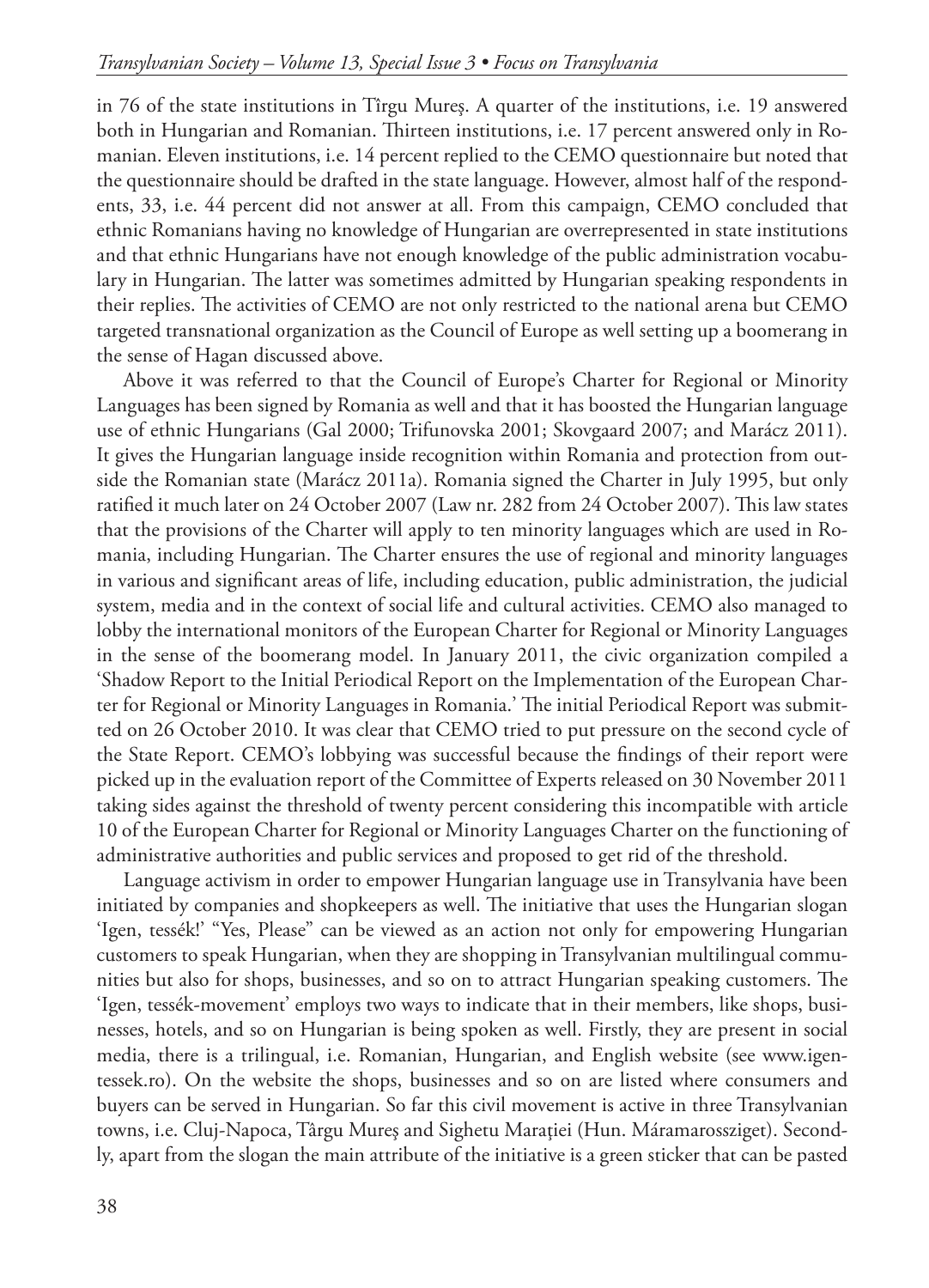in 76 of the state institutions in Tîrgu Mureş. A quarter of the institutions, i.e. 19 answered both in Hungarian and Romanian. Thirteen institutions, i.e. 17 percent answered only in Romanian. Eleven institutions, i.e. 14 percent replied to the CEMO questionnaire but noted that the questionnaire should be drafted in the state language. However, almost half of the respondents, 33, i.e. 44 percent did not answer at all. From this campaign, CEMO concluded that ethnic Romanians having no knowledge of Hungarian are overrepresented in state institutions and that ethnic Hungarians have not enough knowledge of the public administration vocabulary in Hungarian. The latter was sometimes admitted by Hungarian speaking respondents in their replies. The activities of CEMO are not only restricted to the national arena but CEMO targeted transnational organization as the Council of Europe as well setting up a boomerang in the sense of Hagan discussed above.

Above it was referred to that the Council of Europe's Charter for Regional or Minority Languages has been signed by Romania as well and that it has boosted the Hungarian language use of ethnic Hungarians (Gal 2000; Trifunovska 2001; Skovgaard 2007; and Marácz 2011). It gives the Hungarian language inside recognition within Romania and protection from outside the Romanian state (Marácz 2011a). Romania signed the Charter in July 1995, but only ratified it much later on 24 October 2007 (Law nr. 282 from 24 October 2007). This law states that the provisions of the Charter will apply to ten minority languages which are used in Romania, including Hungarian. The Charter ensures the use of regional and minority languages in various and significant areas of life, including education, public administration, the judicial system, media and in the context of social life and cultural activities. CEMO also managed to lobby the international monitors of the European Charter for Regional or Minority Languages in the sense of the boomerang model. In January 2011, the civic organization compiled a 'Shadow Report to the Initial Periodical Report on the Implementation of the European Charter for Regional or Minority Languages in Romania.' The initial Periodical Report was submitted on 26 October 2010. It was clear that CEMO tried to put pressure on the second cycle of the State Report. CEMO's lobbying was successful because the findings of their report were picked up in the evaluation report of the Committee of Experts released on 30 November 2011 taking sides against the threshold of twenty percent considering this incompatible with article 10 of the European Charter for Regional or Minority Languages Charter on the functioning of administrative authorities and public services and proposed to get rid of the threshold.

Language activism in order to empower Hungarian language use in Transylvania have been initiated by companies and shopkeepers as well. The initiative that uses the Hungarian slogan 'Igen, tessék!' "Yes, Please" can be viewed as an action not only for empowering Hungarian customers to speak Hungarian, when they are shopping in Transylvanian multilingual communities but also for shops, businesses, and so on to attract Hungarian speaking customers. The 'Igen, tessék-movement' employs two ways to indicate that in their members, like shops, businesses, hotels, and so on Hungarian is being spoken as well. Firstly, they are present in social media, there is a trilingual, i.e. Romanian, Hungarian, and English website (see www.igentessek.ro). On the website the shops, businesses and so on are listed where consumers and buyers can be served in Hungarian. So far this civil movement is active in three Transylvanian towns, i.e. Cluj-Napoca, Târgu Mureş and Sighetu Maraţiei (Hun. Máramarossziget). Secondly, apart from the slogan the main attribute of the initiative is a green sticker that can be pasted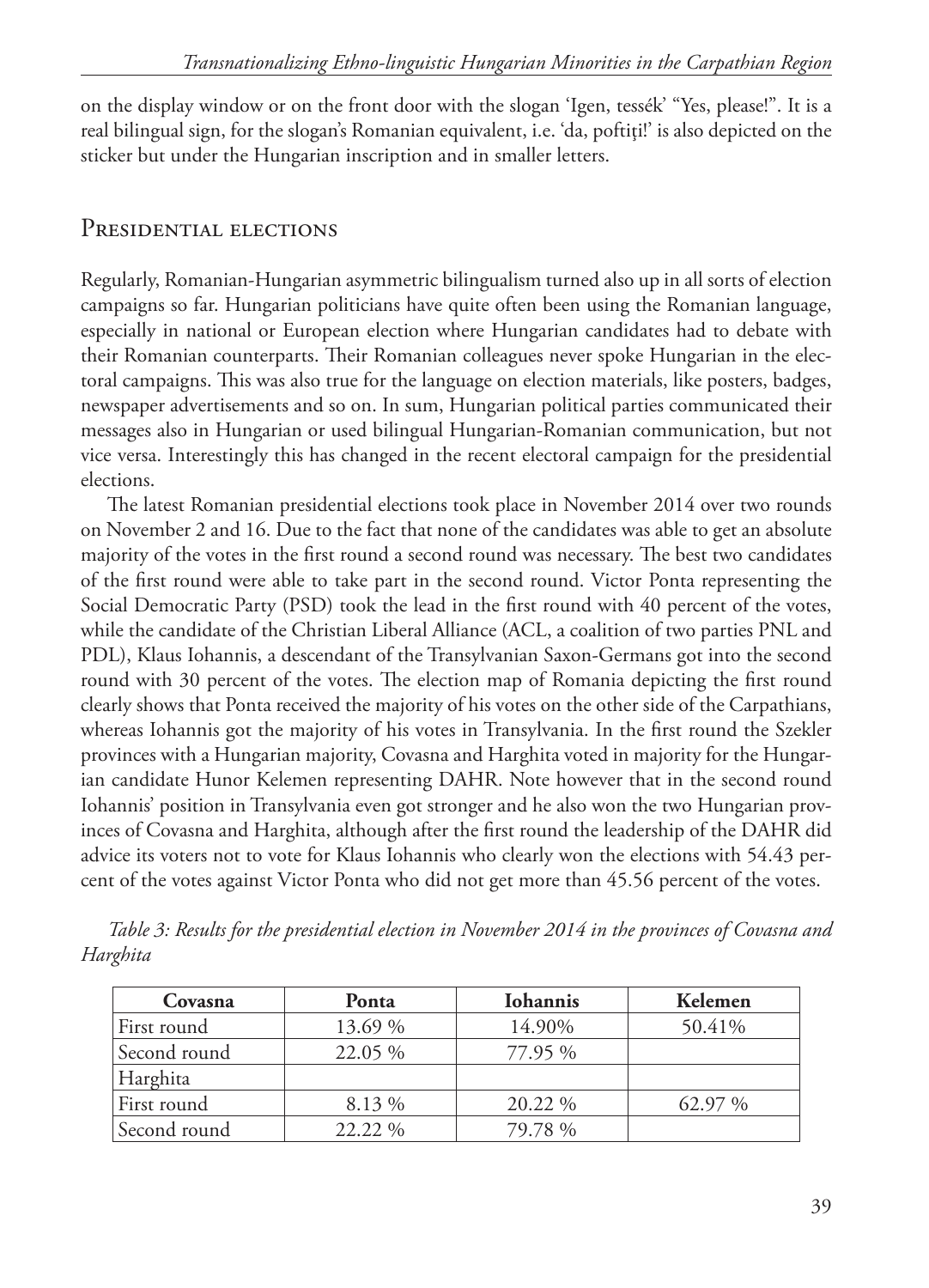on the display window or on the front door with the slogan 'Igen, tessék' "Yes, please!". It is a real bilingual sign, for the slogan's Romanian equivalent, i.e. 'da, poftiţi!' is also depicted on the sticker but under the Hungarian inscription and in smaller letters.

### PRESIDENTIAL ELECTIONS

Regularly, Romanian-Hungarian asymmetric bilingualism turned also up in all sorts of election campaigns so far. Hungarian politicians have quite often been using the Romanian language, especially in national or European election where Hungarian candidates had to debate with their Romanian counterparts. Their Romanian colleagues never spoke Hungarian in the electoral campaigns. This was also true for the language on election materials, like posters, badges, newspaper advertisements and so on. In sum, Hungarian political parties communicated their messages also in Hungarian or used bilingual Hungarian-Romanian communication, but not vice versa. Interestingly this has changed in the recent electoral campaign for the presidential elections.

The latest Romanian presidential elections took place in November 2014 over two rounds on November 2 and 16. Due to the fact that none of the candidates was able to get an absolute majority of the votes in the first round a second round was necessary. The best two candidates of the first round were able to take part in the second round. Victor Ponta representing the Social Democratic Party (PSD) took the lead in the first round with 40 percent of the votes, while the candidate of the Christian Liberal Alliance (ACL, a coalition of two parties PNL and PDL), Klaus Iohannis, a descendant of the Transylvanian Saxon-Germans got into the second round with 30 percent of the votes. The election map of Romania depicting the first round clearly shows that Ponta received the majority of his votes on the other side of the Carpathians, whereas Iohannis got the majority of his votes in Transylvania. In the first round the Szekler provinces with a Hungarian majority, Covasna and Harghita voted in majority for the Hungarian candidate Hunor Kelemen representing DAHR. Note however that in the second round Iohannis' position in Transylvania even got stronger and he also won the two Hungarian provinces of Covasna and Harghita, although after the first round the leadership of the DAHR did advice its voters not to vote for Klaus Iohannis who clearly won the elections with 54.43 percent of the votes against Victor Ponta who did not get more than 45.56 percent of the votes.

| Covasna      | Ponta   | <b>Iohannis</b> | Kelemen |
|--------------|---------|-----------------|---------|
| First round  | 13.69 % | 14.90%          | 50.41%  |
| Second round | 22.05 % | 77.95 %         |         |
| Harghita     |         |                 |         |
| First round  | 8.13 %  | 20.22 %         | 62.97 % |
| Second round | 22.22 % | 79.78 %         |         |

*Table 3: Results for the presidential election in November 2014 in the provinces of Covasna and Harghita*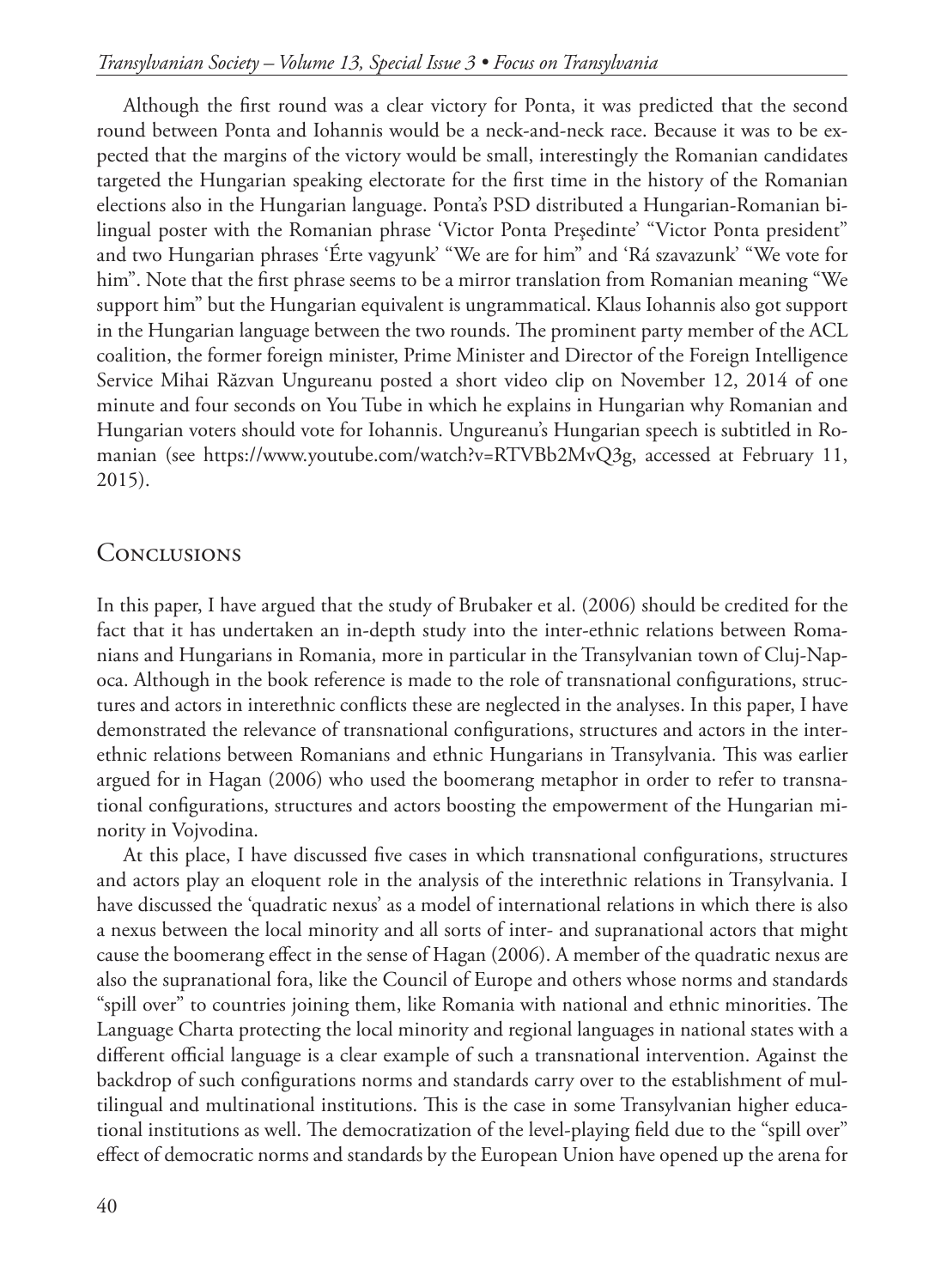Although the first round was a clear victory for Ponta, it was predicted that the second round between Ponta and Iohannis would be a neck-and-neck race. Because it was to be expected that the margins of the victory would be small, interestingly the Romanian candidates targeted the Hungarian speaking electorate for the first time in the history of the Romanian elections also in the Hungarian language. Ponta's PSD distributed a Hungarian-Romanian bilingual poster with the Romanian phrase 'Victor Ponta Preşedinte' "Victor Ponta president" and two Hungarian phrases 'Érte vagyunk' "We are for him" and 'Rá szavazunk' "We vote for him". Note that the first phrase seems to be a mirror translation from Romanian meaning "We support him" but the Hungarian equivalent is ungrammatical. Klaus Iohannis also got support in the Hungarian language between the two rounds. The prominent party member of the ACL coalition, the former foreign minister, Prime Minister and Director of the Foreign Intelligence Service Mihai Răzvan Ungureanu posted a short video clip on November 12, 2014 of one minute and four seconds on You Tube in which he explains in Hungarian why Romanian and Hungarian voters should vote for Iohannis. Ungureanu's Hungarian speech is subtitled in Romanian (see https://www.youtube.com/watch?v=RTVBb2MvQ3g, accessed at February 11, 2015).

### **CONCLUSIONS**

In this paper, I have argued that the study of Brubaker et al. (2006) should be credited for the fact that it has undertaken an in-depth study into the inter-ethnic relations between Romanians and Hungarians in Romania, more in particular in the Transylvanian town of Cluj-Napoca. Although in the book reference is made to the role of transnational configurations, structures and actors in interethnic conflicts these are neglected in the analyses. In this paper, I have demonstrated the relevance of transnational configurations, structures and actors in the interethnic relations between Romanians and ethnic Hungarians in Transylvania. This was earlier argued for in Hagan (2006) who used the boomerang metaphor in order to refer to transnational configurations, structures and actors boosting the empowerment of the Hungarian minority in Vojvodina.

At this place, I have discussed five cases in which transnational configurations, structures and actors play an eloquent role in the analysis of the interethnic relations in Transylvania. I have discussed the 'quadratic nexus' as a model of international relations in which there is also a nexus between the local minority and all sorts of inter- and supranational actors that might cause the boomerang effect in the sense of Hagan (2006). A member of the quadratic nexus are also the supranational fora, like the Council of Europe and others whose norms and standards "spill over" to countries joining them, like Romania with national and ethnic minorities. The Language Charta protecting the local minority and regional languages in national states with a different official language is a clear example of such a transnational intervention. Against the backdrop of such configurations norms and standards carry over to the establishment of multilingual and multinational institutions. This is the case in some Transylvanian higher educational institutions as well. The democratization of the level-playing field due to the "spill over" effect of democratic norms and standards by the European Union have opened up the arena for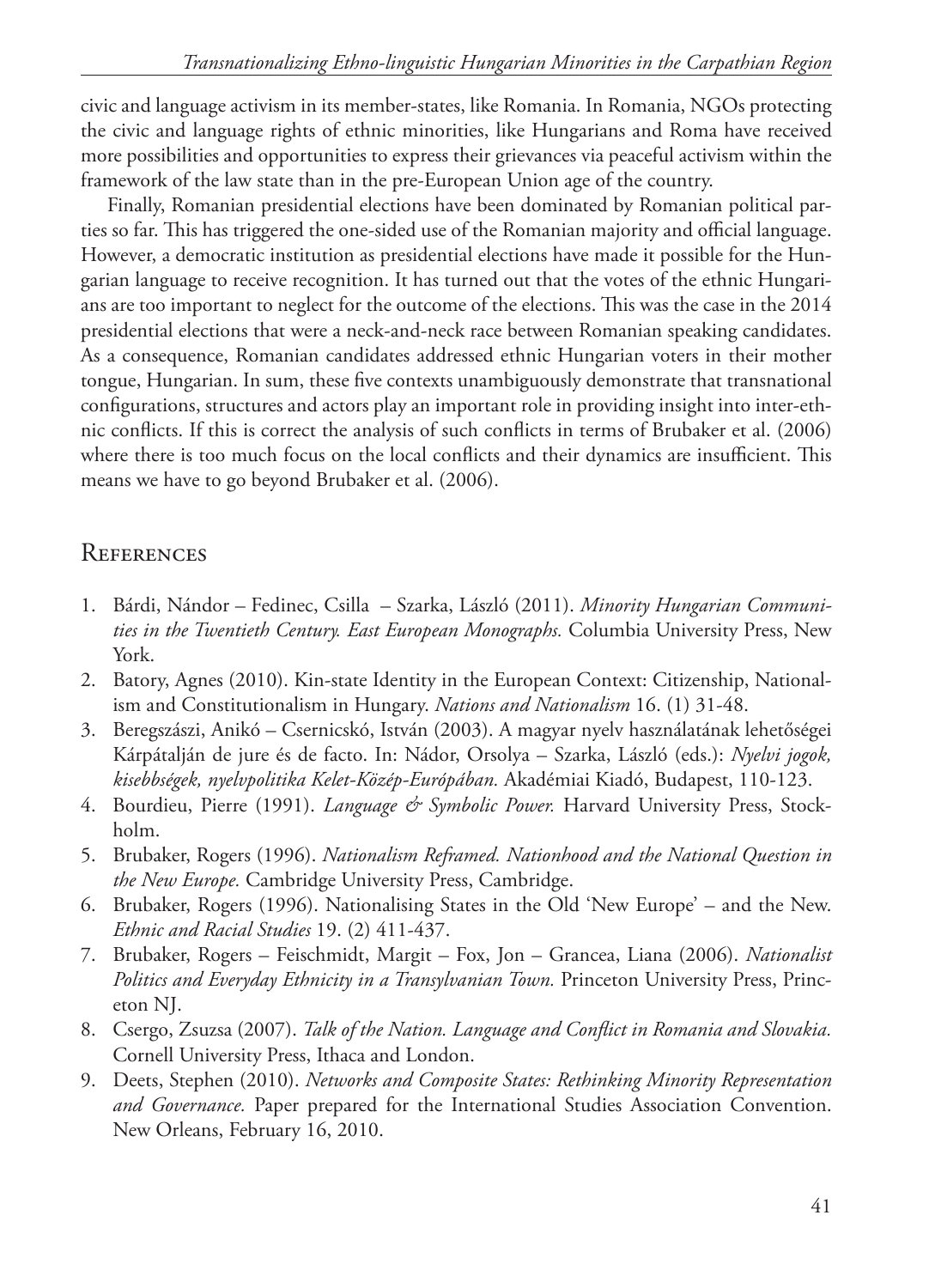civic and language activism in its member-states, like Romania. In Romania, NGOs protecting the civic and language rights of ethnic minorities, like Hungarians and Roma have received more possibilities and opportunities to express their grievances via peaceful activism within the framework of the law state than in the pre-European Union age of the country.

Finally, Romanian presidential elections have been dominated by Romanian political parties so far. This has triggered the one-sided use of the Romanian majority and official language. However, a democratic institution as presidential elections have made it possible for the Hungarian language to receive recognition. It has turned out that the votes of the ethnic Hungarians are too important to neglect for the outcome of the elections. This was the case in the 2014 presidential elections that were a neck-and-neck race between Romanian speaking candidates. As a consequence, Romanian candidates addressed ethnic Hungarian voters in their mother tongue, Hungarian. In sum, these five contexts unambiguously demonstrate that transnational configurations, structures and actors play an important role in providing insight into inter-ethnic conflicts. If this is correct the analysis of such conflicts in terms of Brubaker et al. (2006) where there is too much focus on the local conflicts and their dynamics are insufficient. This means we have to go beyond Brubaker et al. (2006).

# **REFERENCES**

- 1. Bárdi, Nándor Fedinec, Csilla Szarka, László (2011). *Minority Hungarian Communities in the Twentieth Century. East European Monographs.* Columbia University Press, New York.
- 2. Batory, Agnes (2010). Kin-state Identity in the European Context: Citizenship, Nationalism and Constitutionalism in Hungary. *Nations and Nationalism* 16. (1) 31-48.
- 3. Beregszászi, Anikó Csernicskó, István (2003). A magyar nyelv használatának lehetőségei Kárpátalján de jure és de facto. In: Nádor, Orsolya – Szarka, László (eds.): *Nyelvi jogok, kisebbségek, nyelvpolitika Kelet-Közép-Európában.* Akadémiai Kiadó, Budapest, 110-123.
- 4. Bourdieu, Pierre (1991). *Language & Symbolic Power*. Harvard University Press, Stockholm.
- 5. Brubaker, Rogers (1996). *Nationalism Reframed. Nationhood and the National Question in the New Europe.* Cambridge University Press, Cambridge.
- 6. Brubaker, Rogers (1996). Nationalising States in the Old 'New Europe' and the New. *Ethnic and Racial Studies* 19. (2) 411-437.
- 7. Brubaker, Rogers Feischmidt, Margit Fox, Jon Grancea, Liana (2006). *Nationalist Politics and Everyday Ethnicity in a Transylvanian Town.* Princeton University Press, Princeton NJ.
- 8. Csergo, Zsuzsa (2007). *Talk of the Nation. Language and Conflict in Romania and Slovakia.* Cornell University Press, Ithaca and London.
- 9. Deets, Stephen (2010). *Networks and Composite States: Rethinking Minority Representation and Governance.* Paper prepared for the International Studies Association Convention. New Orleans, February 16, 2010.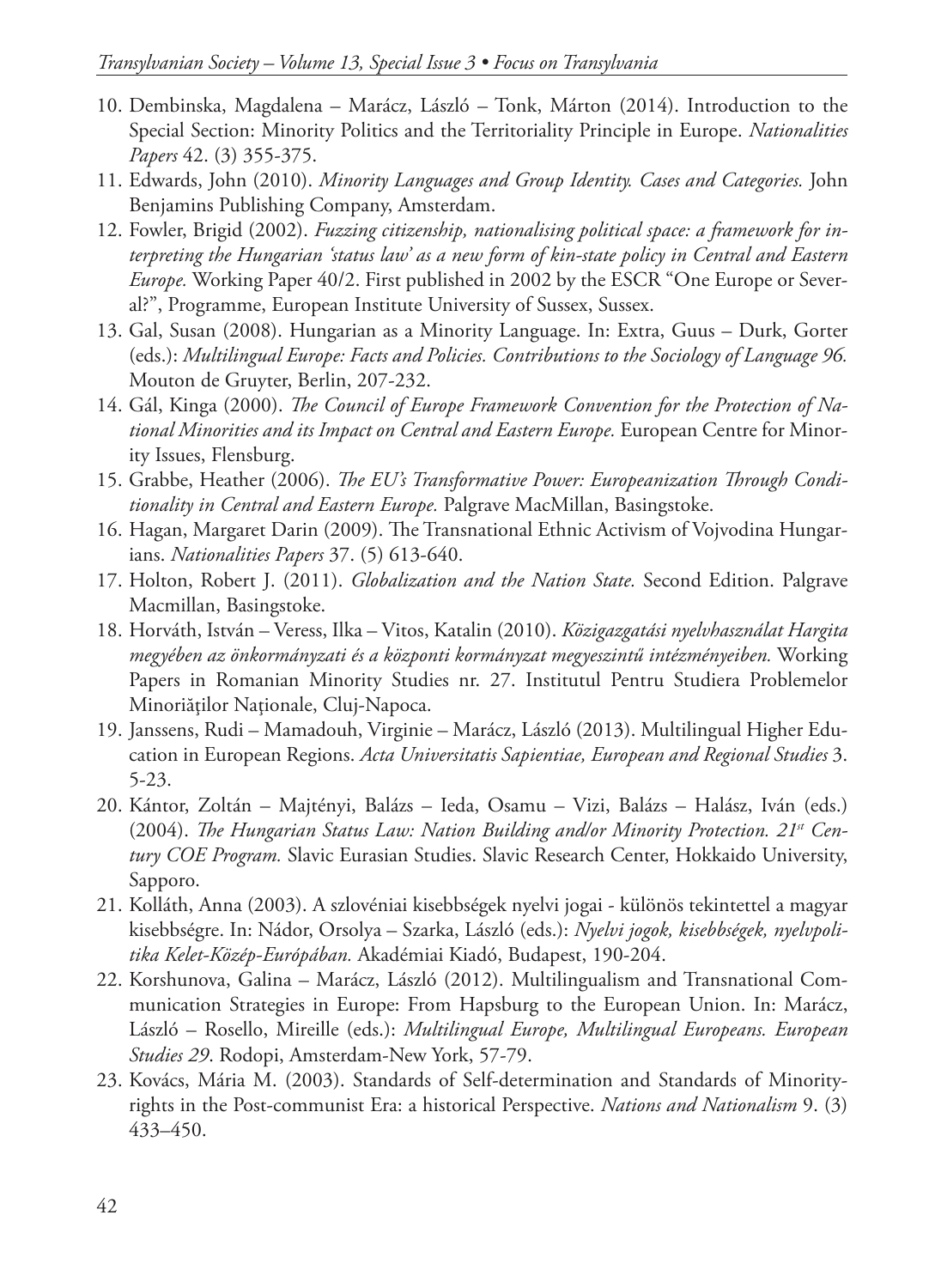- 10. Dembinska, Magdalena Marácz, László Tonk, Márton (2014). Introduction to the Special Section: Minority Politics and the Territoriality Principle in Europe. *Nationalities Papers* 42. (3) 355-375.
- 11. Edwards, John (2010). *Minority Languages and Group Identity. Cases and Categories.* John Benjamins Publishing Company, Amsterdam.
- 12. Fowler, Brigid (2002). *Fuzzing citizenship, nationalising political space: a framework for interpreting the Hungarian 'status law' as a new form of kin-state policy in Central and Eastern Europe.* Working Paper 40/2. First published in 2002 by the ESCR "One Europe or Several?", Programme, European Institute University of Sussex, Sussex.
- 13. Gal, Susan (2008). Hungarian as a Minority Language. In: Extra, Guus Durk, Gorter (eds.): *Multilingual Europe: Facts and Policies. Contributions to the Sociology of Language 96.* Mouton de Gruyter, Berlin, 207-232.
- 14. Gál, Kinga (2000). *The Council of Europe Framework Convention for the Protection of National Minorities and its Impact on Central and Eastern Europe.* European Centre for Minority Issues, Flensburg.
- 15. Grabbe, Heather (2006). *The EU's Transformative Power: Europeanization Through Conditionality in Central and Eastern Europe.* Palgrave MacMillan, Basingstoke.
- 16. Hagan, Margaret Darin (2009). The Transnational Ethnic Activism of Vojvodina Hungarians. *Nationalities Papers* 37. (5) 613-640.
- 17. Holton, Robert J. (2011). *Globalization and the Nation State.* Second Edition. Palgrave Macmillan, Basingstoke.
- 18. Horváth, István Veress, Ilka Vitos, Katalin (2010). *Közigazgatási nyelvhasználat Hargita megyében az önkormányzati és a központi kormányzat megyeszintű intézményeiben.* Working Papers in Romanian Minority Studies nr. 27. Institutul Pentru Studiera Problemelor Minoriăţilor Naţionale, Cluj-Napoca.
- 19. Janssens, Rudi Mamadouh, Virginie Marácz, László (2013). Multilingual Higher Education in European Regions. *Acta Universitatis Sapientiae, European and Regional Studies* 3. 5-23.
- 20. Kántor, Zoltán Majtényi, Balázs Ieda, Osamu Vizi, Balázs Halász, Iván (eds.) (2004). The Hungarian Status Law: Nation Building and/or Minority Protection. 21<sup>st</sup> Cen*tury COE Program.* Slavic Eurasian Studies. Slavic Research Center, Hokkaido University, Sapporo.
- 21. Kolláth, Anna (2003). A szlovéniai kisebbségek nyelvi jogai különös tekintettel a magyar kisebbségre. In: Nádor, Orsolya – Szarka, László (eds.): *Nyelvi jogok, kisebbségek, nyelvpolitika Kelet-Közép-Európában.* Akadémiai Kiadó, Budapest, 190-204.
- 22. Korshunova, Galina Marácz, László (2012). Multilingualism and Transnational Communication Strategies in Europe: From Hapsburg to the European Union. In: Marácz, László – Rosello, Mireille (eds.): *Multilingual Europe, Multilingual Europeans. European Studies 29*. Rodopi, Amsterdam-New York, 57-79.
- 23. Kovács, Mária M. (2003). Standards of Self-determination and Standards of Minorityrights in the Post-communist Era: a historical Perspective. *Nations and Nationalism* 9. (3) 433–450.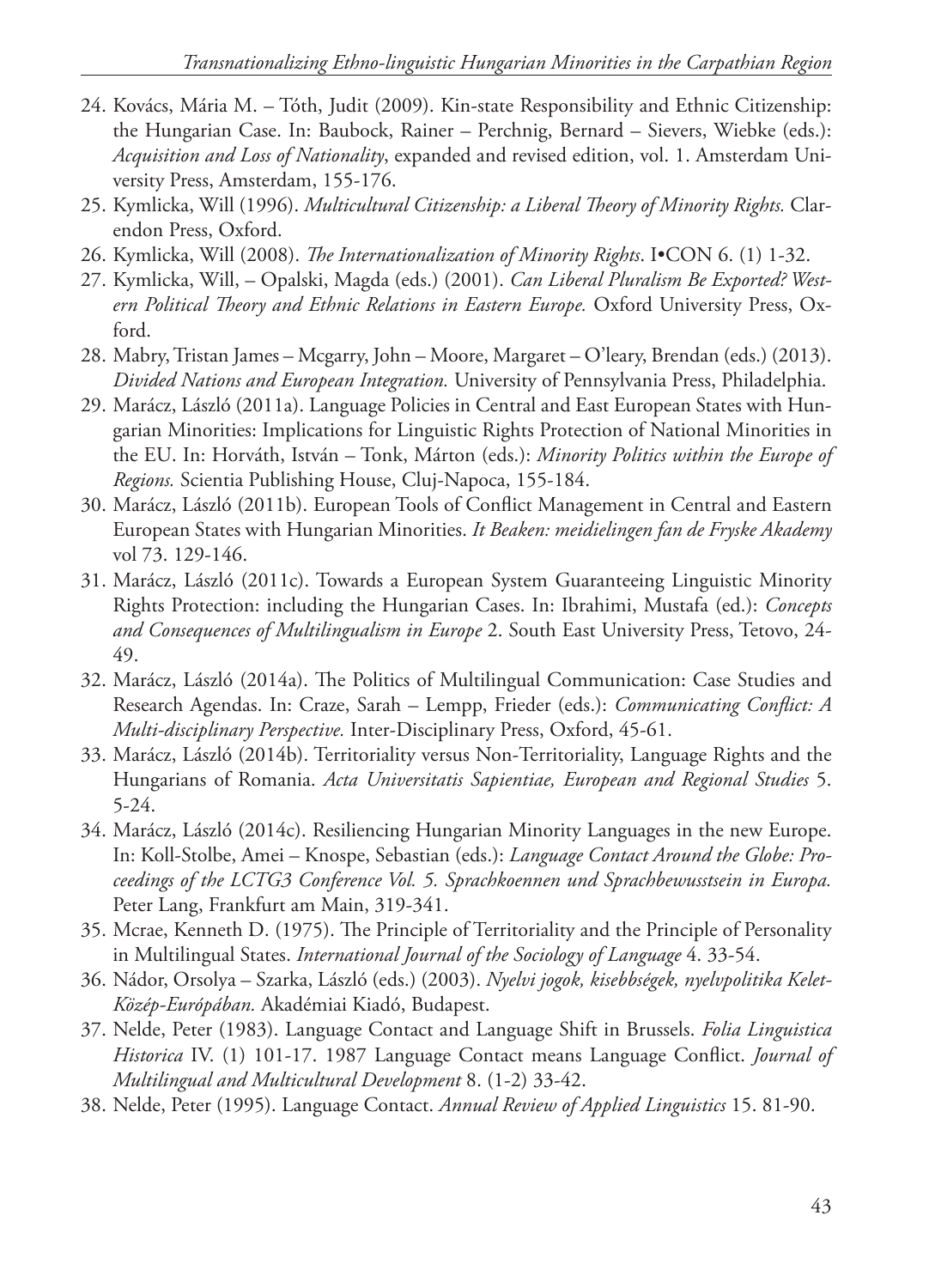- 24. Kovács, Mária M. Tóth, Judit (2009). Kin-state Responsibility and Ethnic Citizenship: the Hungarian Case. In: Baubock, Rainer – Perchnig, Bernard – Sievers, Wiebke (eds.): *Acquisition and Loss of Nationality*, expanded and revised edition, vol. 1. Amsterdam University Press, Amsterdam, 155-176.
- 25. Kymlicka, Will (1996). *Multicultural Citizenship: a Liberal Theory of Minority Rights.* Clarendon Press, Oxford.
- 26. Kymlicka, Will (2008). *The Internationalization of Minority Rights*. I•CON 6. (1) 1-32.
- 27. Kymlicka, Will, Opalski, Magda (eds.) (2001). *Can Liberal Pluralism Be Exported? Western Political Theory and Ethnic Relations in Eastern Europe.* Oxford University Press, Oxford.
- 28. Mabry, Tristan James Mcgarry, John Moore, Margaret O'leary, Brendan (eds.) (2013). *Divided Nations and European Integration.* University of Pennsylvania Press, Philadelphia.
- 29. Marácz, László (2011a). Language Policies in Central and East European States with Hungarian Minorities: Implications for Linguistic Rights Protection of National Minorities in the EU. In: Horváth, István – Tonk, Márton (eds.): *Minority Politics within the Europe of Regions.* Scientia Publishing House, Cluj-Napoca, 155-184.
- 30. Marácz, László (2011b). European Tools of Conflict Management in Central and Eastern European States with Hungarian Minorities. *It Beaken: meidielingen fan de Fryske Akademy* vol 73. 129-146.
- 31. Marácz, László (2011c). Towards a European System Guaranteeing Linguistic Minority Rights Protection: including the Hungarian Cases. In: Ibrahimi, Mustafa (ed.): *Concepts and Consequences of Multilingualism in Europe* 2. South East University Press, Tetovo, 24- 49.
- 32. Marácz, László (2014a). The Politics of Multilingual Communication: Case Studies and Research Agendas. In: Craze, Sarah – Lempp, Frieder (eds.): *Communicating Conflict: A Multi-disciplinary Perspective.* Inter-Disciplinary Press, Oxford, 45-61.
- 33. Marácz, László (2014b). Territoriality versus Non-Territoriality, Language Rights and the Hungarians of Romania. *Acta Universitatis Sapientiae, European and Regional Studies* 5. 5-24.
- 34. Marácz, László (2014c). Resiliencing Hungarian Minority Languages in the new Europe. In: Koll-Stolbe, Amei – Knospe, Sebastian (eds.): *Language Contact Around the Globe: Proceedings of the LCTG3 Conference Vol. 5. Sprachkoennen und Sprachbewusstsein in Europa.* Peter Lang, Frankfurt am Main, 319-341.
- 35. Mcrae, Kenneth D. (1975). The Principle of Territoriality and the Principle of Personality in Multilingual States. *International Journal of the Sociology of Language* 4. 33-54.
- 36. Nádor, Orsolya Szarka, László (eds.) (2003). *Nyelvi jogok, kisebbségek, nyelvpolitika Kelet-Közép-Európában.* Akadémiai Kiadó, Budapest.
- 37. Nelde, Peter (1983). Language Contact and Language Shift in Brussels. *Folia Linguistica Historica* IV. (1) 101-17. 1987 Language Contact means Language Conflict. *Journal of Multilingual and Multicultural Development* 8. (1-2) 33-42.
- 38. Nelde, Peter (1995). Language Contact. *Annual Review of Applied Linguistics* 15. 81-90.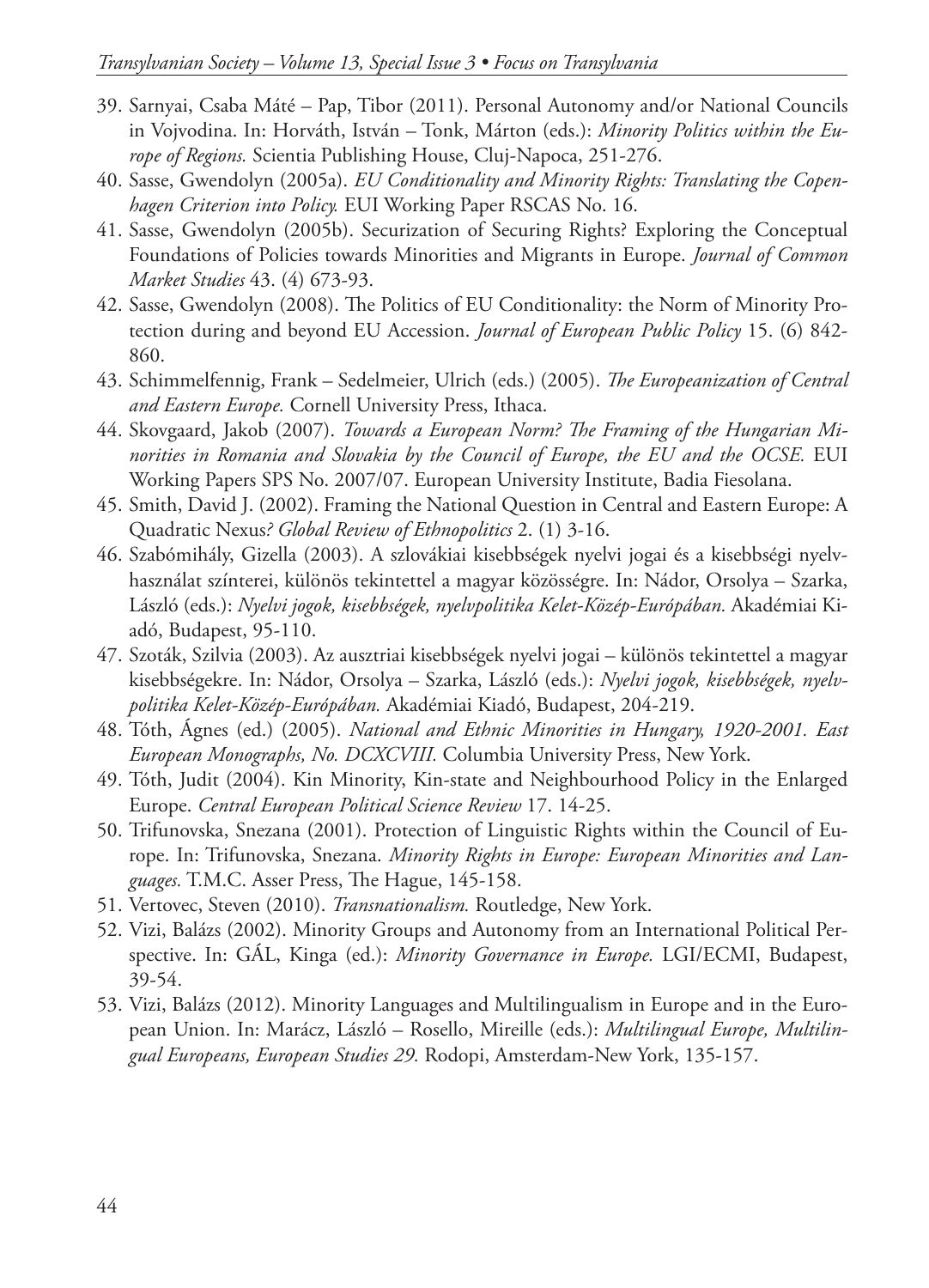- 39. Sarnyai, Csaba Máté Pap, Tibor (2011). Personal Autonomy and/or National Councils in Vojvodina. In: Horváth, István – Tonk, Márton (eds.): *Minority Politics within the Europe of Regions.* Scientia Publishing House, Cluj-Napoca, 251-276.
- 40. Sasse, Gwendolyn (2005a). *EU Conditionality and Minority Rights: Translating the Copenhagen Criterion into Policy.* EUI Working Paper RSCAS No. 16.
- 41. Sasse, Gwendolyn (2005b). Securization of Securing Rights? Exploring the Conceptual Foundations of Policies towards Minorities and Migrants in Europe. *Journal of Common Market Studies* 43. (4) 673-93.
- 42. Sasse, Gwendolyn (2008). The Politics of EU Conditionality: the Norm of Minority Protection during and beyond EU Accession. *Journal of European Public Policy* 15. (6) 842- 860.
- 43. Schimmelfennig, Frank Sedelmeier, Ulrich (eds.) (2005). *The Europeanization of Central and Eastern Europe.* Cornell University Press, Ithaca.
- 44. Skovgaard, Jakob (2007). *Towards a European Norm? The Framing of the Hungarian Minorities in Romania and Slovakia by the Council of Europe, the EU and the OCSE.* EUI Working Papers SPS No. 2007/07. European University Institute, Badia Fiesolana.
- 45. Smith, David J. (2002). Framing the National Question in Central and Eastern Europe: A Quadratic Nexus*? Global Review of Ethnopolitics* 2. (1) 3-16.
- 46. Szabómihály, Gizella (2003). A szlovákiai kisebbségek nyelvi jogai és a kisebbségi nyelvhasználat színterei, különös tekintettel a magyar közösségre. In: Nádor, Orsolya – Szarka, László (eds.): *Nyelvi jogok, kisebbségek, nyelvpolitika Kelet-Közép-Európában.* Akadémiai Kiadó, Budapest, 95-110.
- 47. Szoták, Szilvia (2003). Az ausztriai kisebbségek nyelvi jogai különös tekintettel a magyar kisebbségekre. In: Nádor, Orsolya – Szarka, László (eds.): *Nyelvi jogok, kisebbségek, nyelvpolitika Kelet-Közép-Európában.* Akadémiai Kiadó, Budapest, 204-219.
- 48. Tóth, Ágnes (ed.) (2005). *National and Ethnic Minorities in Hungary, 1920-2001. East European Monographs, No. DCXCVIII.* Columbia University Press, New York.
- 49. Tóth, Judit (2004). Kin Minority, Kin-state and Neighbourhood Policy in the Enlarged Europe. *Central European Political Science Review* 17. 14-25.
- 50. Trifunovska, Snezana (2001). Protection of Linguistic Rights within the Council of Europe. In: Trifunovska, Snezana. *Minority Rights in Europe: European Minorities and Languages.* T.M.C. Asser Press, The Hague, 145-158.
- 51. Vertovec, Steven (2010). *Transnationalism.* Routledge, New York.
- 52. Vizi, Balázs (2002). Minority Groups and Autonomy from an International Political Perspective. In: GÁL, Kinga (ed.): *Minority Governance in Europe.* LGI/ECMI, Budapest, 39-54.
- 53. Vizi, Balázs (2012). Minority Languages and Multilingualism in Europe and in the European Union. In: Marácz, László – Rosello, Mireille (eds.): *Multilingual Europe, Multilingual Europeans, European Studies 29.* Rodopi, Amsterdam-New York, 135-157.